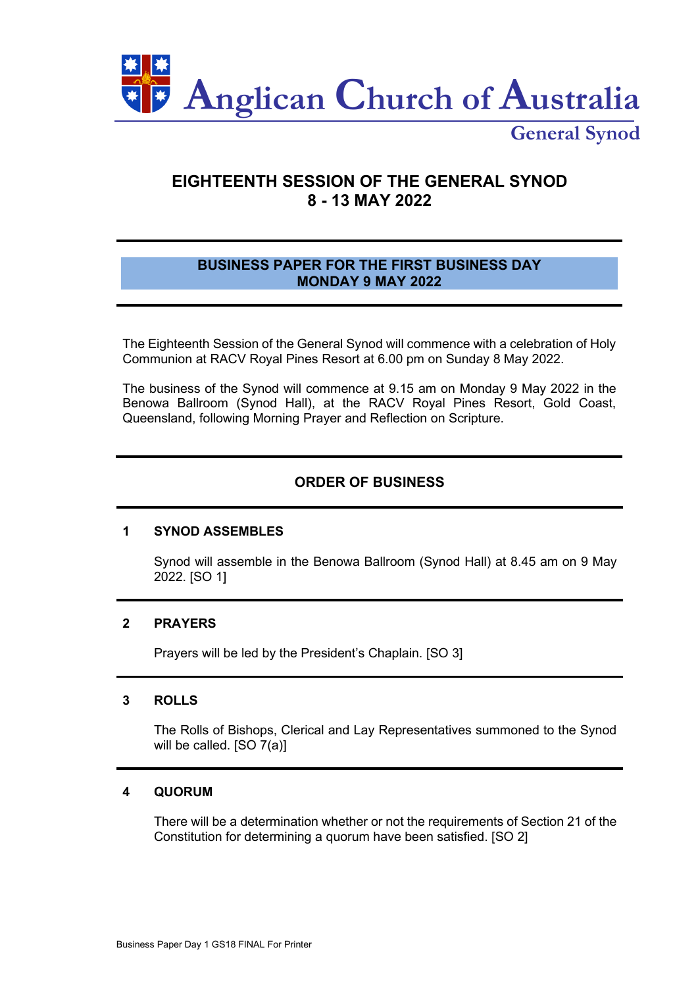

**General Synod**

# **EIGHTEENTH SESSION OF THE GENERAL SYNOD 8 - 13 MAY 2022**

# **BUSINESS PAPER FOR THE FIRST BUSINESS DAY MONDAY 9 MAY 2022**

The Eighteenth Session of the General Synod will commence with a celebration of Holy Communion at RACV Royal Pines Resort at 6.00 pm on Sunday 8 May 2022.

The business of the Synod will commence at 9.15 am on Monday 9 May 2022 in the Benowa Ballroom (Synod Hall), at the RACV Royal Pines Resort, Gold Coast, Queensland, following Morning Prayer and Reflection on Scripture.

# **ORDER OF BUSINESS**

### **1 SYNOD ASSEMBLES**

Synod will assemble in the Benowa Ballroom (Synod Hall) at 8.45 am on 9 May 2022. [SO 1]

## **2 PRAYERS**

Prayers will be led by the President's Chaplain. [SO 3]

# **3 ROLLS**

The Rolls of Bishops, Clerical and Lay Representatives summoned to the Synod will be called. [SO 7(a)]

# **4 QUORUM**

There will be a determination whether or not the requirements of Section 21 of the Constitution for determining a quorum have been satisfied. [SO 2]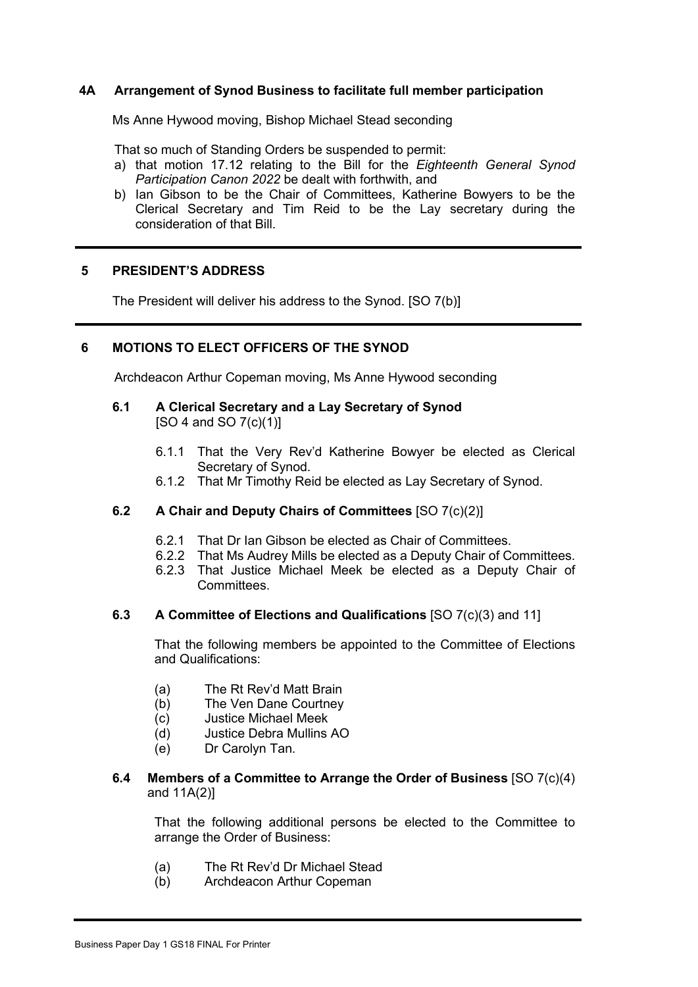# **4A Arrangement of Synod Business to facilitate full member participation**

Ms Anne Hywood moving, Bishop Michael Stead seconding

That so much of Standing Orders be suspended to permit:

- a) that motion 17.12 relating to the Bill for the *Eighteenth General Synod Participation Canon 2022* be dealt with forthwith, and
- b) Ian Gibson to be the Chair of Committees, Katherine Bowyers to be the Clerical Secretary and Tim Reid to be the Lay secretary during the consideration of that Bill.

#### **5 PRESIDENT'S ADDRESS**

The President will deliver his address to the Synod. [SO 7(b)]

# **6 MOTIONS TO ELECT OFFICERS OF THE SYNOD**

Archdeacon Arthur Copeman moving, Ms Anne Hywood seconding

# **6.1 A Clerical Secretary and a Lay Secretary of Synod**

[SO 4 and SO 7(c)(1)]

- 6.1.1 That the Very Rev'd Katherine Bowyer be elected as Clerical Secretary of Synod.
- 6.1.2 That Mr Timothy Reid be elected as Lay Secretary of Synod.

## **6.2 A Chair and Deputy Chairs of Committees** [SO 7(c)(2)]

- 6.2.1 That Dr Ian Gibson be elected as Chair of Committees.
- 6.2.2 That Ms Audrey Mills be elected as a Deputy Chair of Committees.
- 6.2.3 That Justice Michael Meek be elected as a Deputy Chair of Committees.

#### **6.3 A Committee of Elections and Qualifications** [SO 7(c)(3) and 11]

That the following members be appointed to the Committee of Elections and Qualifications:

- (a) The Rt Rev'd Matt Brain
- (b) The Ven Dane Courtney
- (c) Justice Michael Meek
- (d) Justice Debra Mullins AO
- (e) Dr Carolyn Tan.

## **6.4 Members of a Committee to Arrange the Order of Business** [SO 7(c)(4) and 11A(2)]

That the following additional persons be elected to the Committee to arrange the Order of Business:

- (a) The Rt Rev'd Dr Michael Stead
- (b) Archdeacon Arthur Copeman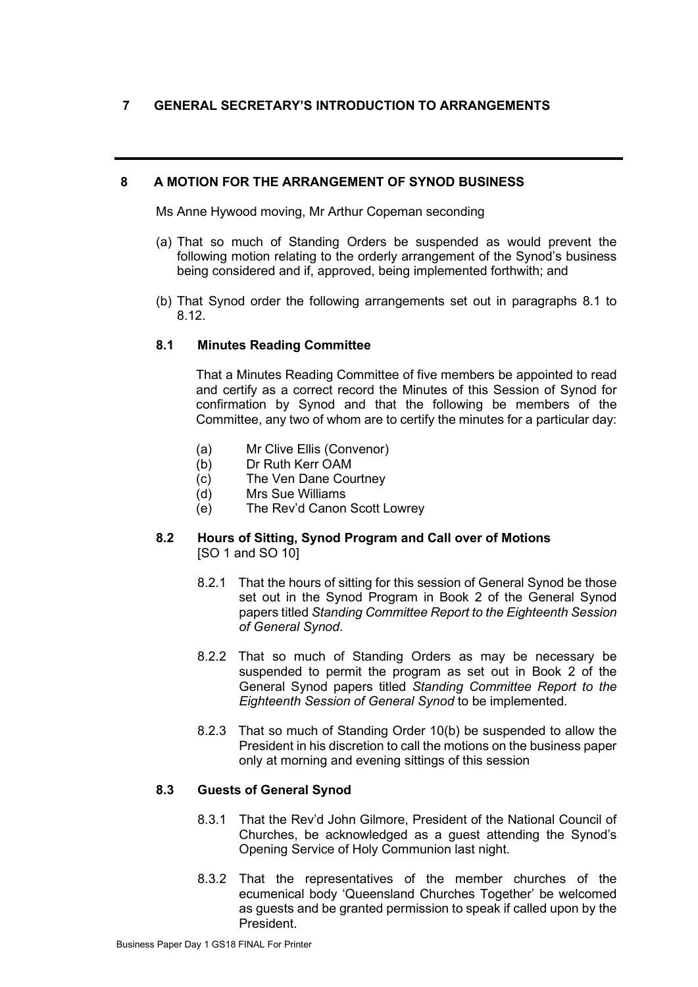# **7 GENERAL SECRETARY'S INTRODUCTION TO ARRANGEMENTS**

# **8 A MOTION FOR THE ARRANGEMENT OF SYNOD BUSINESS**

Ms Anne Hywood moving, Mr Arthur Copeman seconding

- (a) That so much of Standing Orders be suspended as would prevent the following motion relating to the orderly arrangement of the Synod's business being considered and if, approved, being implemented forthwith; and
- (b) That Synod order the following arrangements set out in paragraphs 8.1 to 8.12.

# **8.1 Minutes Reading Committee**

That a Minutes Reading Committee of five members be appointed to read and certify as a correct record the Minutes of this Session of Synod for confirmation by Synod and that the following be members of the Committee, any two of whom are to certify the minutes for a particular day:

- (a) Mr Clive Ellis (Convenor)
- (b) Dr Ruth Kerr OAM
- (c) The Ven Dane Courtney
- (d) Mrs Sue Williams
- (e) The Rev'd Canon Scott Lowrey

# **8.2 Hours of Sitting, Synod Program and Call over of Motions** [SO 1 and SO 10]

- 8.2.1 That the hours of sitting for this session of General Synod be those set out in the Synod Program in Book 2 of the General Synod papers titled *Standing Committee Report to the Eighteenth Session of General Synod*.
- 8.2.2 That so much of Standing Orders as may be necessary be suspended to permit the program as set out in Book 2 of the General Synod papers titled *Standing Committee Report to the Eighteenth Session of General Synod* to be implemented.
- 8.2.3 That so much of Standing Order 10(b) be suspended to allow the President in his discretion to call the motions on the business paper only at morning and evening sittings of this session

### **8.3 Guests of General Synod**

- 8.3.1 That the Rev'd John Gilmore, President of the National Council of Churches, be acknowledged as a guest attending the Synod's Opening Service of Holy Communion last night.
- 8.3.2 That the representatives of the member churches of the ecumenical body 'Queensland Churches Together' be welcomed as guests and be granted permission to speak if called upon by the President.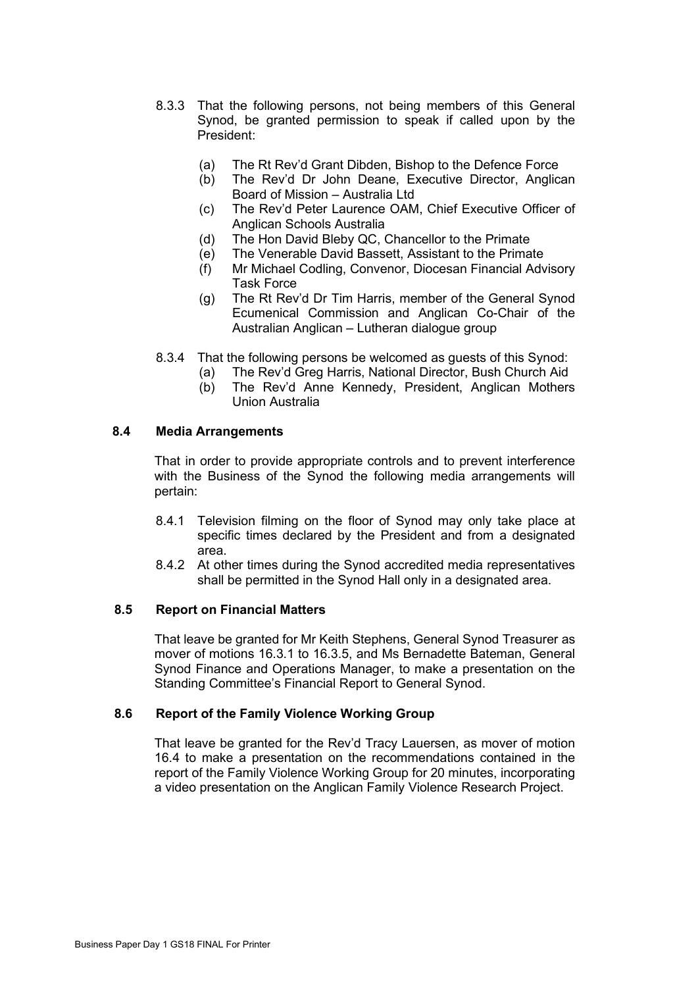- 8.3.3 That the following persons, not being members of this General Synod, be granted permission to speak if called upon by the President:
	- (a) The Rt Rev'd Grant Dibden, Bishop to the Defence Force<br>(b) The Rev'd Dr John Deane, Executive Director, Anglic
	- The Rev'd Dr John Deane, Executive Director, Anglican Board of Mission – Australia Ltd
	- (c) The Rev'd Peter Laurence OAM, Chief Executive Officer of Anglican Schools Australia
	- (d) The Hon David Bleby QC, Chancellor to the Primate
	- (e) The Venerable David Bassett, Assistant to the Primate
	- (f) Mr Michael Codling, Convenor, Diocesan Financial Advisory Task Force
	- (g) The Rt Rev'd Dr Tim Harris, member of the General Synod Ecumenical Commission and Anglican Co-Chair of the Australian Anglican – Lutheran dialogue group
- 8.3.4 That the following persons be welcomed as guests of this Synod:
	- (a) The Rev'd Greg Harris, National Director, Bush Church Aid
	- (b) The Rev'd Anne Kennedy, President, Anglican Mothers Union Australia

# **8.4 Media Arrangements**

That in order to provide appropriate controls and to prevent interference with the Business of the Synod the following media arrangements will pertain:

- 8.4.1 Television filming on the floor of Synod may only take place at specific times declared by the President and from a designated area.
- 8.4.2 At other times during the Synod accredited media representatives shall be permitted in the Synod Hall only in a designated area.

#### **8.5 Report on Financial Matters**

That leave be granted for Mr Keith Stephens, General Synod Treasurer as mover of motions 16.3.1 to 16.3.5, and Ms Bernadette Bateman, General Synod Finance and Operations Manager, to make a presentation on the Standing Committee's Financial Report to General Synod.

#### **8.6 Report of the Family Violence Working Group**

That leave be granted for the Rev'd Tracy Lauersen, as mover of motion 16.4 to make a presentation on the recommendations contained in the report of the Family Violence Working Group for 20 minutes, incorporating a video presentation on the Anglican Family Violence Research Project.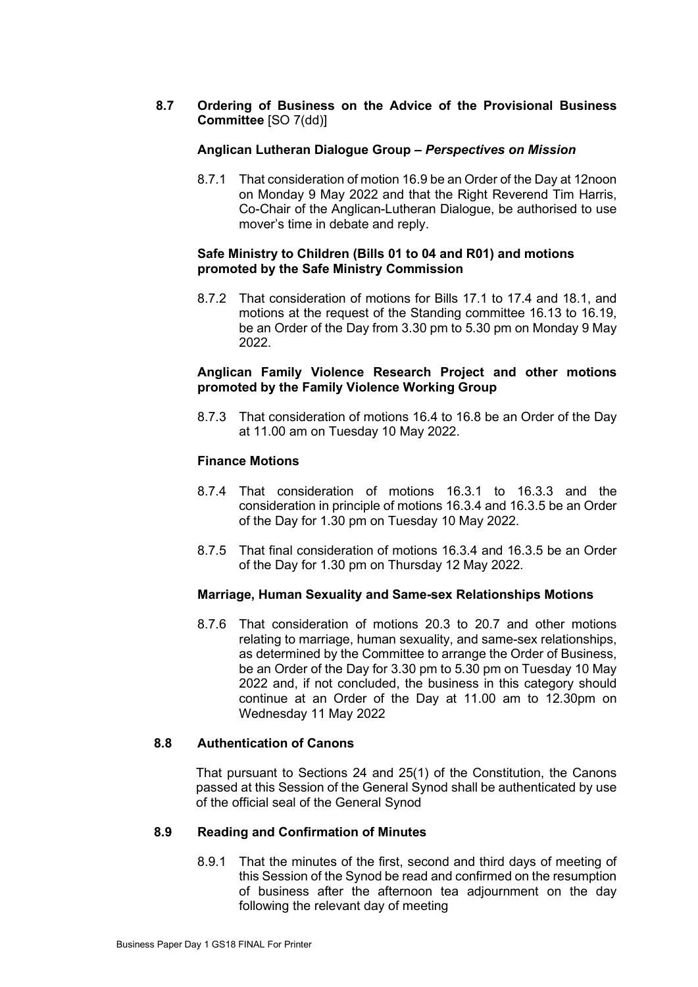# **8.7 Ordering of Business on the Advice of the Provisional Business Committee** [SO 7(dd)]

# **Anglican Lutheran Dialogue Group –** *Perspectives on Mission*

8.7.1 That consideration of motion 16.9 be an Order of the Day at 12noon on Monday 9 May 2022 and that the Right Reverend Tim Harris, Co-Chair of the Anglican-Lutheran Dialogue, be authorised to use mover's time in debate and reply.

# **Safe Ministry to Children (Bills 01 to 04 and R01) and motions promoted by the Safe Ministry Commission**

8.7.2 That consideration of motions for Bills 17.1 to 17.4 and 18.1, and motions at the request of the Standing committee 16.13 to 16.19, be an Order of the Day from 3.30 pm to 5.30 pm on Monday 9 May 2022.

# **Anglican Family Violence Research Project and other motions promoted by the Family Violence Working Group**

8.7.3 That consideration of motions 16.4 to 16.8 be an Order of the Day at 11.00 am on Tuesday 10 May 2022.

# **Finance Motions**

- 8.7.4 That consideration of motions 16.3.1 to 16.3.3 and the consideration in principle of motions 16.3.4 and 16.3.5 be an Order of the Day for 1.30 pm on Tuesday 10 May 2022.
- 8.7.5 That final consideration of motions 16.3.4 and 16.3.5 be an Order of the Day for 1.30 pm on Thursday 12 May 2022.

# **Marriage, Human Sexuality and Same-sex Relationships Motions**

8.7.6 That consideration of motions 20.3 to 20.7 and other motions relating to marriage, human sexuality, and same-sex relationships, as determined by the Committee to arrange the Order of Business, be an Order of the Day for 3.30 pm to 5.30 pm on Tuesday 10 May 2022 and, if not concluded, the business in this category should continue at an Order of the Day at 11.00 am to 12.30pm on Wednesday 11 May 2022

#### **8.8 Authentication of Canons**

That pursuant to Sections 24 and 25(1) of the Constitution, the Canons passed at this Session of the General Synod shall be authenticated by use of the official seal of the General Synod

#### **8.9 Reading and Confirmation of Minutes**

8.9.1 That the minutes of the first, second and third days of meeting of this Session of the Synod be read and confirmed on the resumption of business after the afternoon tea adjournment on the day following the relevant day of meeting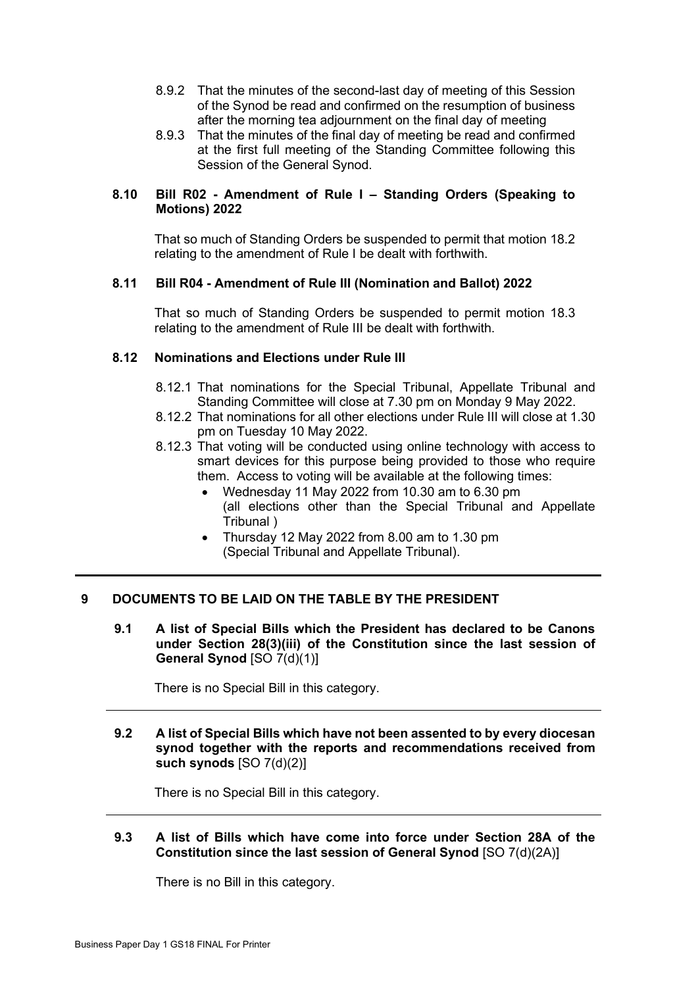- 8.9.2 That the minutes of the second-last day of meeting of this Session of the Synod be read and confirmed on the resumption of business after the morning tea adjournment on the final day of meeting
- 8.9.3 That the minutes of the final day of meeting be read and confirmed at the first full meeting of the Standing Committee following this Session of the General Synod.

# **8.10 Bill R02 - Amendment of Rule I – Standing Orders (Speaking to Motions) 2022**

That so much of Standing Orders be suspended to permit that motion 18.2 relating to the amendment of Rule I be dealt with forthwith.

# **8.11 Bill R04 - Amendment of Rule III (Nomination and Ballot) 2022**

That so much of Standing Orders be suspended to permit motion 18.3 relating to the amendment of Rule III be dealt with forthwith.

# **8.12 Nominations and Elections under Rule III**

- 8.12.1 That nominations for the Special Tribunal, Appellate Tribunal and Standing Committee will close at 7.30 pm on Monday 9 May 2022.
- 8.12.2 That nominations for all other elections under Rule III will close at 1.30 pm on Tuesday 10 May 2022.
- 8.12.3 That voting will be conducted using online technology with access to smart devices for this purpose being provided to those who require them. Access to voting will be available at the following times:
	- Wednesday 11 May 2022 from 10.30 am to 6.30 pm (all elections other than the Special Tribunal and Appellate Tribunal )
	- Thursday 12 May 2022 from 8.00 am to 1.30 pm (Special Tribunal and Appellate Tribunal).

# **9 DOCUMENTS TO BE LAID ON THE TABLE BY THE PRESIDENT**

**9.1 A list of Special Bills which the President has declared to be Canons under Section 28(3)(iii) of the Constitution since the last session of General Synod** [SO 7(d)(1)]

There is no Special Bill in this category.

**9.2 A list of Special Bills which have not been assented to by every diocesan synod together with the reports and recommendations received from such synods** [SO 7(d)(2)]

There is no Special Bill in this category.

# **9.3 A list of Bills which have come into force under Section 28A of the Constitution since the last session of General Synod** [SO 7(d)(2A)]

There is no Bill in this category.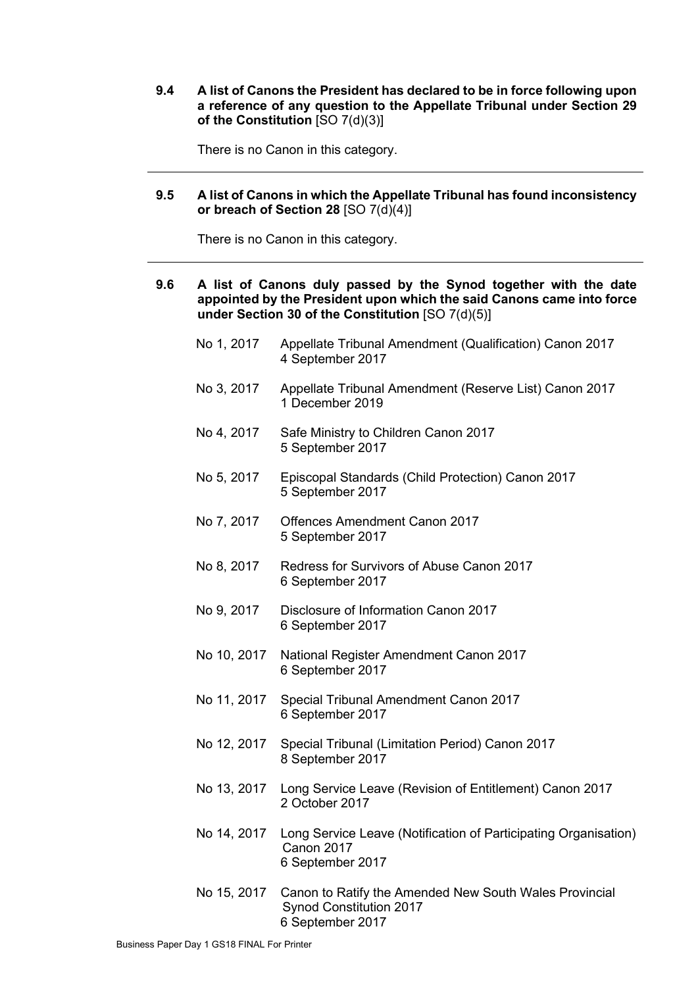**9.4 A list of Canons the President has declared to be in force following upon a reference of any question to the Appellate Tribunal under Section 29 of the Constitution** [SO 7(d)(3)]

There is no Canon in this category.

# **9.5 A list of Canons in which the Appellate Tribunal has found inconsistency or breach of Section 28** [SO 7(d)(4)]

There is no Canon in this category.

# **9.6 A list of Canons duly passed by the Synod together with the date appointed by the President upon which the said Canons came into force under Section 30 of the Constitution** [SO 7(d)(5)]

- No 1, 2017 Appellate Tribunal Amendment (Qualification) Canon 2017 4 September 2017
- No 3, 2017 Appellate Tribunal Amendment (Reserve List) Canon 2017 1 December 2019
- No 4, 2017 Safe Ministry to Children Canon 2017 5 September 2017
- No 5, 2017 Episcopal Standards (Child Protection) Canon 2017 5 September 2017
- No 7, 2017 Offences Amendment Canon 2017 5 September 2017
- No 8, 2017 Redress for Survivors of Abuse Canon 2017 6 September 2017
- No 9, 2017 Disclosure of Information Canon 2017 6 September 2017
- No 10, 2017 National Register Amendment Canon 2017 6 September 2017
- No 11, 2017 Special Tribunal Amendment Canon 2017 6 September 2017
- No 12, 2017 Special Tribunal (Limitation Period) Canon 2017 8 September 2017
- No 13, 2017 Long Service Leave (Revision of Entitlement) Canon 2017 2 October 2017
- No 14, 2017 Long Service Leave (Notification of Participating Organisation) Canon 2017 6 September 2017
- No 15, 2017 Canon to Ratify the Amended New South Wales Provincial Synod Constitution 2017 6 September 2017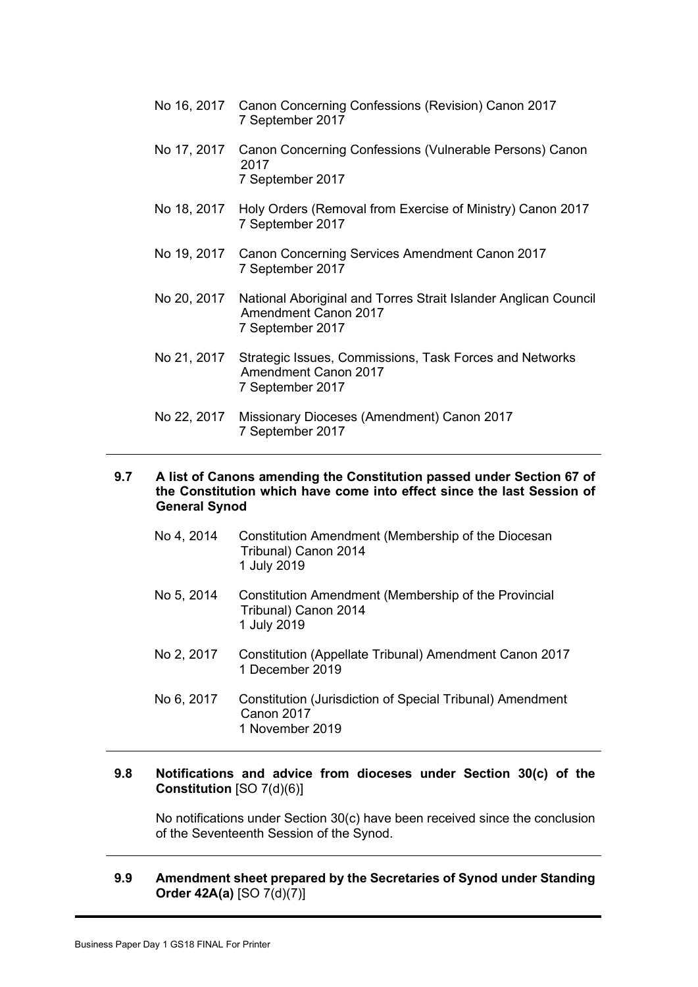- No 16, 2017 Canon Concerning Confessions (Revision) Canon 2017 7 September 2017
- No 17, 2017 Canon Concerning Confessions (Vulnerable Persons) Canon 2017 7 September 2017
- No 18, 2017 Holy Orders (Removal from Exercise of Ministry) Canon 2017 7 September 2017
- No 19, 2017 Canon Concerning Services Amendment Canon 2017 7 September 2017
- No 20, 2017 National Aboriginal and Torres Strait Islander Anglican Council Amendment Canon 2017 7 September 2017
- No 21, 2017 Strategic Issues, Commissions, Task Forces and Networks Amendment Canon 2017 7 September 2017
- No 22, 2017 Missionary Dioceses (Amendment) Canon 2017 7 September 2017

#### **9.7 A list of Canons amending the Constitution passed under Section 67 of the Constitution which have come into effect since the last Session of General Synod**

- No 4, 2014 Constitution Amendment (Membership of the Diocesan Tribunal) Canon 2014 1 July 2019
- No 5, 2014 Constitution Amendment (Membership of the Provincial Tribunal) Canon 2014 1 July 2019
- No 2, 2017 Constitution (Appellate Tribunal) Amendment Canon 2017 1 December 2019
- No 6, 2017 Constitution (Jurisdiction of Special Tribunal) Amendment Canon 2017 1 November 2019

# **9.8 Notifications and advice from dioceses under Section 30(c) of the Constitution** [SO 7(d)(6)]

No notifications under Section 30(c) have been received since the conclusion of the Seventeenth Session of the Synod.

# **9.9 Amendment sheet prepared by the Secretaries of Synod under Standing Order 42A(a)** [SO 7(d)(7)]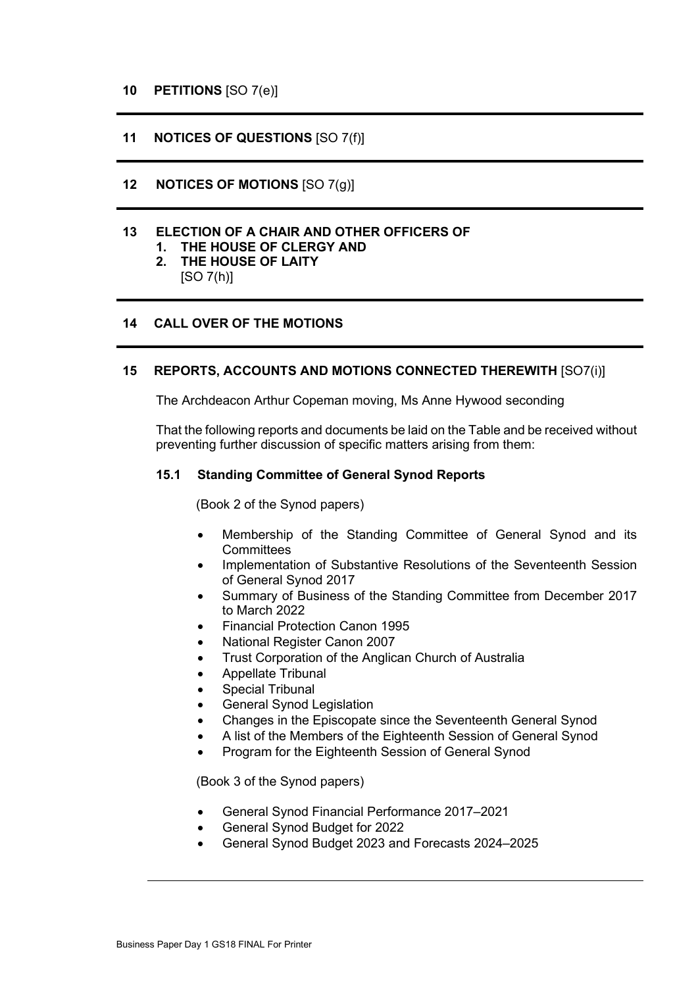# **10 PETITIONS** [SO 7(e)]

# **11 NOTICES OF QUESTIONS** [SO 7(f)]

# **12 NOTICES OF MOTIONS** [SO 7(g)]

# **13 ELECTION OF A CHAIR AND OTHER OFFICERS OF**

- **1. THE HOUSE OF CLERGY AND**
- **2. THE HOUSE OF LAITY**
	- $[SO 7(h)]$

# **14 CALL OVER OF THE MOTIONS**

#### **15 REPORTS, ACCOUNTS AND MOTIONS CONNECTED THEREWITH** [SO7(i)]

The Archdeacon Arthur Copeman moving, Ms Anne Hywood seconding

That the following reports and documents be laid on the Table and be received without preventing further discussion of specific matters arising from them:

#### **15.1 Standing Committee of General Synod Reports**

(Book 2 of the Synod papers)

- Membership of the Standing Committee of General Synod and its **Committees**
- Implementation of Substantive Resolutions of the Seventeenth Session of General Synod 2017
- Summary of Business of the Standing Committee from December 2017 to March 2022
- Financial Protection Canon 1995
- National Register Canon 2007
- Trust Corporation of the Anglican Church of Australia
- Appellate Tribunal
- Special Tribunal
- General Synod Legislation
- Changes in the Episcopate since the Seventeenth General Synod
- A list of the Members of the Eighteenth Session of General Synod
- Program for the Eighteenth Session of General Synod

(Book 3 of the Synod papers)

- General Synod Financial Performance 2017–2021
- General Synod Budget for 2022
- General Synod Budget 2023 and Forecasts 2024–2025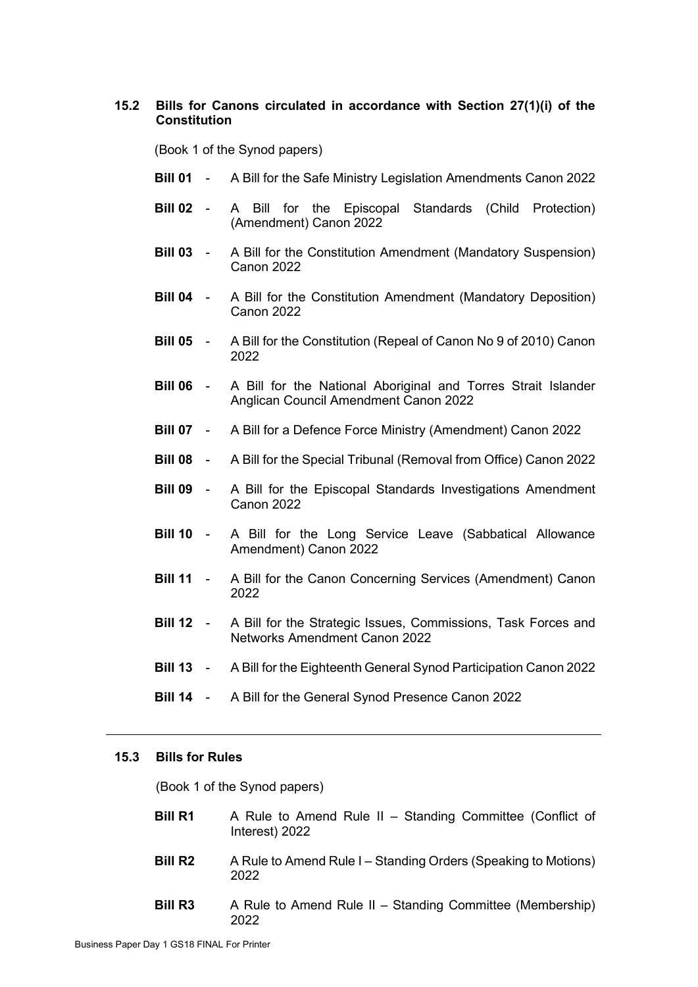# **15.2 Bills for Canons circulated in accordance with Section 27(1)(i) of the Constitution**

(Book 1 of the Synod papers)

- **Bill 01** A Bill for the Safe Ministry Legislation Amendments Canon 2022
- **Bill 02** A Bill for the Episcopal Standards (Child Protection) (Amendment) Canon 2022
- **Bill 03** A Bill for the Constitution Amendment (Mandatory Suspension) Canon 2022
- **Bill 04** A Bill for the Constitution Amendment (Mandatory Deposition) Canon 2022
- **Bill 05** A Bill for the Constitution (Repeal of Canon No 9 of 2010) Canon 2022
- **Bill 06** A Bill for the National Aboriginal and Torres Strait Islander Anglican Council Amendment Canon 2022
- **Bill 07** A Bill for a Defence Force Ministry (Amendment) Canon 2022
- **Bill 08** A Bill for the Special Tribunal (Removal from Office) Canon 2022
- **Bill 09** A Bill for the Episcopal Standards Investigations Amendment Canon 2022
- **Bill 10** A Bill for the Long Service Leave (Sabbatical Allowance Amendment) Canon 2022
- **Bill 11** A Bill for the Canon Concerning Services (Amendment) Canon 2022
- **Bill 12** A Bill for the Strategic Issues, Commissions, Task Forces and Networks Amendment Canon 2022
- **Bill 13** A Bill for the Eighteenth General Synod Participation Canon 2022
- **Bill 14** A Bill for the General Synod Presence Canon 2022

#### **15.3 Bills for Rules**

(Book 1 of the Synod papers)

- **Bill R1** A Rule to Amend Rule II Standing Committee (Conflict of Interest) 2022
- **Bill R2** A Rule to Amend Rule I Standing Orders (Speaking to Motions) 2022
- **Bill R3** A Rule to Amend Rule II Standing Committee (Membership) 2022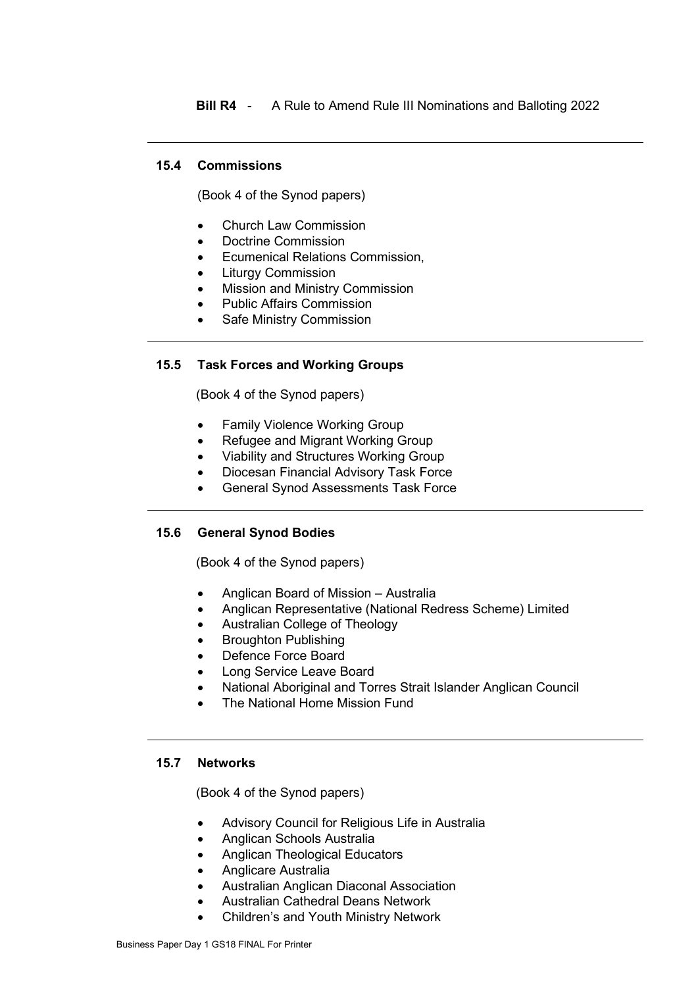**Bill R4** - A Rule to Amend Rule III Nominations and Balloting 2022

# **15.4 Commissions**

(Book 4 of the Synod papers)

- Church Law Commission
- Doctrine Commission
- Ecumenical Relations Commission,
- Liturgy Commission
- Mission and Ministry Commission
- Public Affairs Commission
- Safe Ministry Commission

# **15.5 Task Forces and Working Groups**

(Book 4 of the Synod papers)

- Family Violence Working Group
- Refugee and Migrant Working Group
- Viability and Structures Working Group
- Diocesan Financial Advisory Task Force
- General Synod Assessments Task Force

# **15.6 General Synod Bodies**

(Book 4 of the Synod papers)

- Anglican Board of Mission Australia
- Anglican Representative (National Redress Scheme) Limited
- Australian College of Theology
- Broughton Publishing
- Defence Force Board
- Long Service Leave Board
- National Aboriginal and Torres Strait Islander Anglican Council
- The National Home Mission Fund

# **15.7 Networks**

(Book 4 of the Synod papers)

- Advisory Council for Religious Life in Australia
- Anglican Schools Australia
- Anglican Theological Educators
- Anglicare Australia
- Australian Anglican Diaconal Association
- Australian Cathedral Deans Network
- Children's and Youth Ministry Network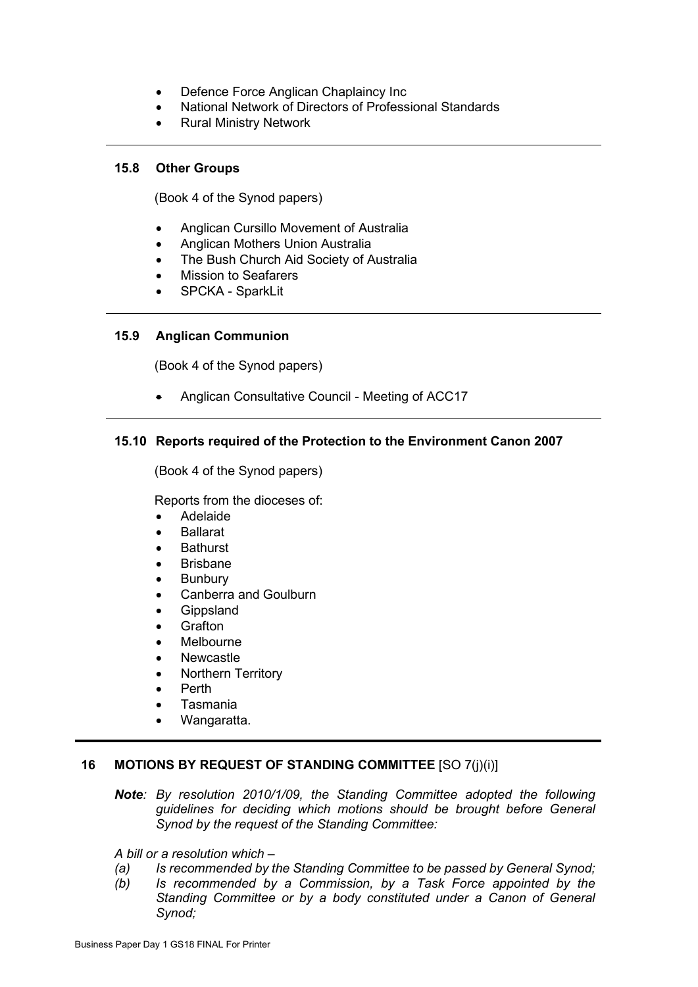- Defence Force Anglican Chaplaincy Inc
- National Network of Directors of Professional Standards
- Rural Ministry Network

#### **15.8 Other Groups**

(Book 4 of the Synod papers)

- Anglican Cursillo Movement of Australia
- Anglican Mothers Union Australia
- The Bush Church Aid Society of Australia
- Mission to Seafarers
- SPCKA SparkLit

# **15.9 Anglican Communion**

(Book 4 of the Synod papers)

• Anglican Consultative Council - Meeting of ACC17

# **15.10 Reports required of the Protection to the Environment Canon 2007**

(Book 4 of the Synod papers)

Reports from the dioceses of:

- Adelaide
- **Ballarat**
- **Bathurst**
- **Brisbane**
- **Bunbury**
- Canberra and Goulburn
- Gippsland
- Grafton
- **Melbourne**
- **Newcastle**
- Northern Territory
- Perth
- Tasmania
- Wangaratta.

# **16 MOTIONS BY REQUEST OF STANDING COMMITTEE** [SO 7(j)(i)]

*Note: By resolution 2010/1/09, the Standing Committee adopted the following guidelines for deciding which motions should be brought before General Synod by the request of the Standing Committee:*

*A bill or a resolution which –*

- *(a) Is recommended by the Standing Committee to be passed by General Synod;*
- *(b) Is recommended by a Commission, by a Task Force appointed by the Standing Committee or by a body constituted under a Canon of General Synod;*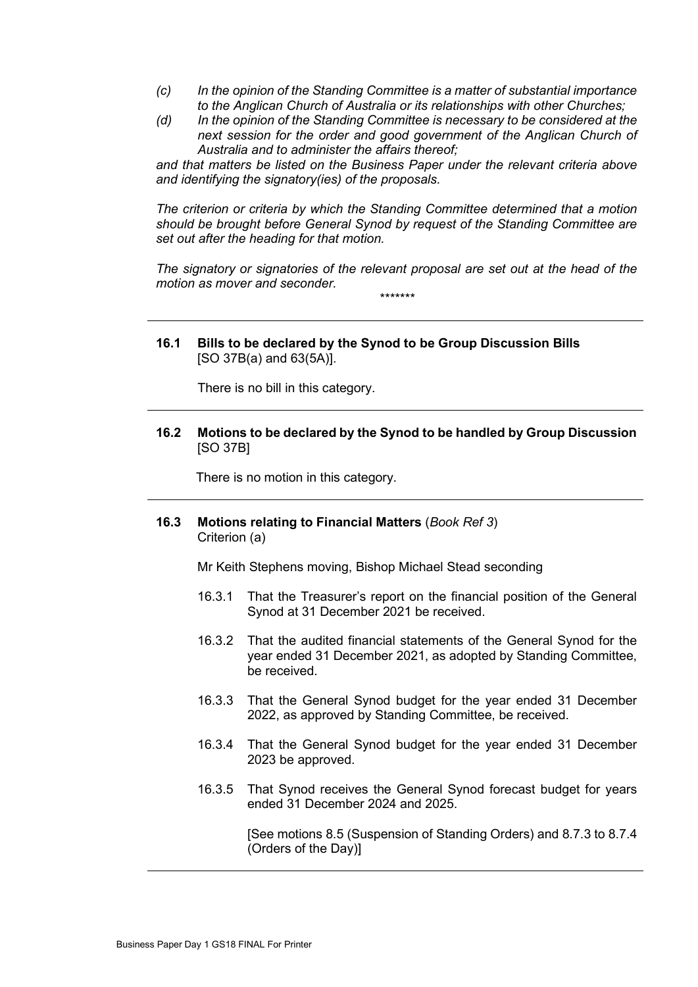- *(c) In the opinion of the Standing Committee is a matter of substantial importance to the Anglican Church of Australia or its relationships with other Churches;*
- *(d) In the opinion of the Standing Committee is necessary to be considered at the next session for the order and good government of the Anglican Church of Australia and to administer the affairs thereof;*

*and that matters be listed on the Business Paper under the relevant criteria above and identifying the signatory(ies) of the proposals.*

*The criterion or criteria by which the Standing Committee determined that a motion should be brought before General Synod by request of the Standing Committee are set out after the heading for that motion.*

*The signatory or signatories of the relevant proposal are set out at the head of the motion as mover and seconder. \*\*\*\*\*\*\**

**16.1 Bills to be declared by the Synod to be Group Discussion Bills** [SO 37B(a) and 63(5A)].

There is no bill in this category.

**16.2 Motions to be declared by the Synod to be handled by Group Discussion**  [SO 37B]

There is no motion in this category.

**16.3 Motions relating to Financial Matters** (*Book Ref 3*) Criterion (a)

Mr Keith Stephens moving, Bishop Michael Stead seconding

- 16.3.1 That the Treasurer's report on the financial position of the General Synod at 31 December 2021 be received.
- 16.3.2 That the audited financial statements of the General Synod for the year ended 31 December 2021, as adopted by Standing Committee, be received.
- 16.3.3 That the General Synod budget for the year ended 31 December 2022, as approved by Standing Committee, be received.
- 16.3.4 That the General Synod budget for the year ended 31 December 2023 be approved.
- 16.3.5 That Synod receives the General Synod forecast budget for years ended 31 December 2024 and 2025.

[See motions 8.5 (Suspension of Standing Orders) and 8.7.3 to 8.7.4 (Orders of the Day)]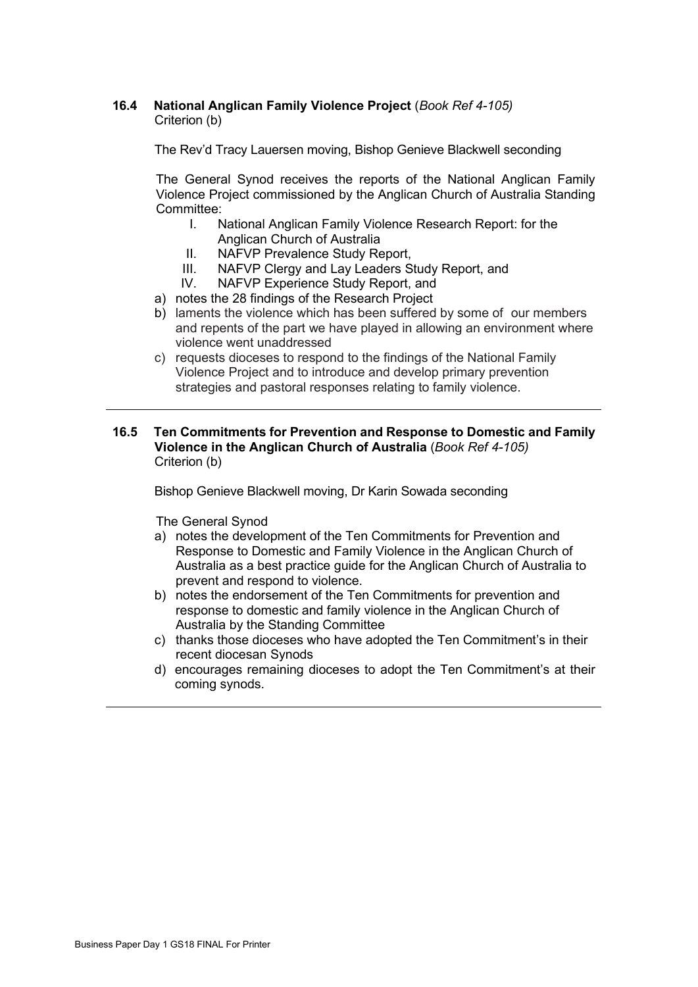## **16.4 National Anglican Family Violence Project** (*Book Ref 4-105)* Criterion (b)

The Rev'd Tracy Lauersen moving, Bishop Genieve Blackwell seconding

The General Synod receives the reports of the National Anglican Family Violence Project commissioned by the Anglican Church of Australia Standing Committee:<br>A L

- National Anglican Family Violence Research Report: for the Anglican Church of Australia
- II. NAFVP Prevalence Study Report,
- III. NAFVP Clergy and Lay Leaders Study Report, and<br>IV. NAFVP Experience Study Report, and
- NAFVP Experience Study Report, and
- a) notes the 28 findings of the Research Project
- b) laments the violence which has been suffered by some of our members and repents of the part we have played in allowing an environment where violence went unaddressed
- c) requests dioceses to respond to the findings of the National Family Violence Project and to introduce and develop primary prevention strategies and pastoral responses relating to family violence.
- **16.5 Ten Commitments for Prevention and Response to Domestic and Family Violence in the Anglican Church of Australia** (*Book Ref 4-105)* Criterion (b)

Bishop Genieve Blackwell moving, Dr Karin Sowada seconding

The General Synod

- a) notes the development of the Ten Commitments for Prevention and Response to Domestic and Family Violence in the Anglican Church of Australia as a best practice guide for the Anglican Church of Australia to prevent and respond to violence.
- b) notes the endorsement of the Ten Commitments for prevention and response to domestic and family violence in the Anglican Church of Australia by the Standing Committee
- c) thanks those dioceses who have adopted the Ten Commitment's in their recent diocesan Synods
- d) encourages remaining dioceses to adopt the Ten Commitment's at their coming synods.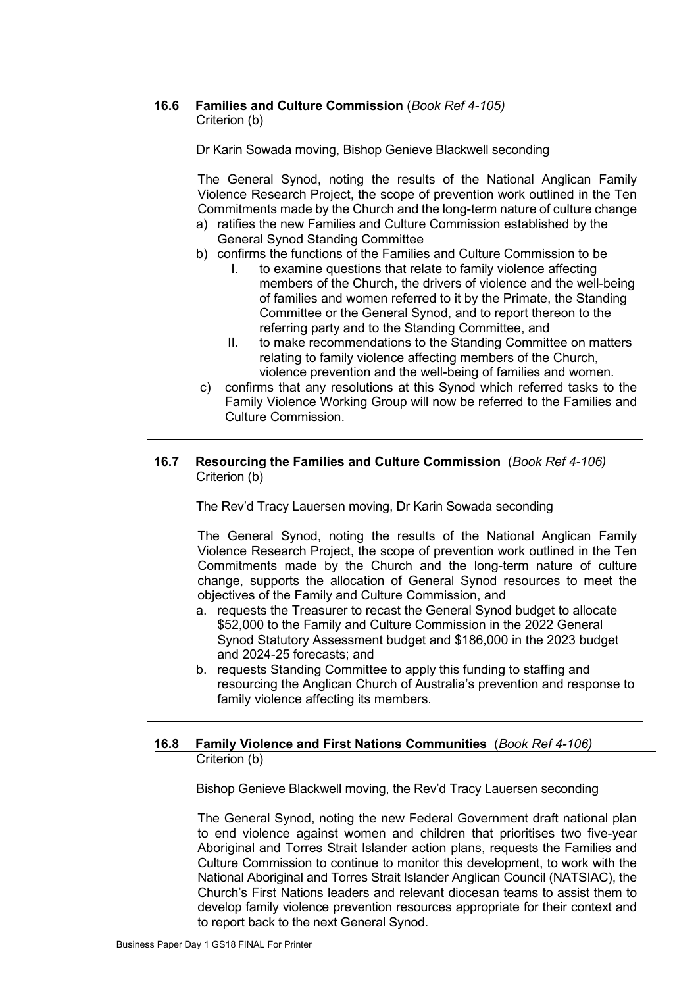# **16.6 Families and Culture Commission** (*Book Ref 4-105)*

Criterion (b)

Dr Karin Sowada moving, Bishop Genieve Blackwell seconding

The General Synod, noting the results of the National Anglican Family Violence Research Project, the scope of prevention work outlined in the Ten Commitments made by the Church and the long-term nature of culture change a) ratifies the new Families and Culture Commission established by the

- General Synod Standing Committee
- b) confirms the functions of the Families and Culture Commission to be
	- I. to examine questions that relate to family violence affecting members of the Church, the drivers of violence and the well-being of families and women referred to it by the Primate, the Standing Committee or the General Synod, and to report thereon to the referring party and to the Standing Committee, and
	- II. to make recommendations to the Standing Committee on matters relating to family violence affecting members of the Church, violence prevention and the well-being of families and women.
- c) confirms that any resolutions at this Synod which referred tasks to the Family Violence Working Group will now be referred to the Families and Culture Commission.

# **16.7 Resourcing the Families and Culture Commission** (*Book Ref 4-106)* Criterion (b)

The Rev'd Tracy Lauersen moving, Dr Karin Sowada seconding

The General Synod, noting the results of the National Anglican Family Violence Research Project, the scope of prevention work outlined in the Ten Commitments made by the Church and the long-term nature of culture change, supports the allocation of General Synod resources to meet the objectives of the Family and Culture Commission, and

- a. requests the Treasurer to recast the General Synod budget to allocate \$52,000 to the Family and Culture Commission in the 2022 General Synod Statutory Assessment budget and \$186,000 in the 2023 budget and 2024-25 forecasts; and
- b. requests Standing Committee to apply this funding to staffing and resourcing the Anglican Church of Australia's prevention and response to family violence affecting its members.

# **16.8 Family Violence and First Nations Communities** (*Book Ref 4-106)* Criterion (b)

Bishop Genieve Blackwell moving, the Rev'd Tracy Lauersen seconding

The General Synod, noting the new Federal Government draft national plan to end violence against women and children that prioritises two five-year Aboriginal and Torres Strait Islander action plans, requests the Families and Culture Commission to continue to monitor this development, to work with the National Aboriginal and Torres Strait Islander Anglican Council (NATSIAC), the Church's First Nations leaders and relevant diocesan teams to assist them to develop family violence prevention resources appropriate for their context and to report back to the next General Synod.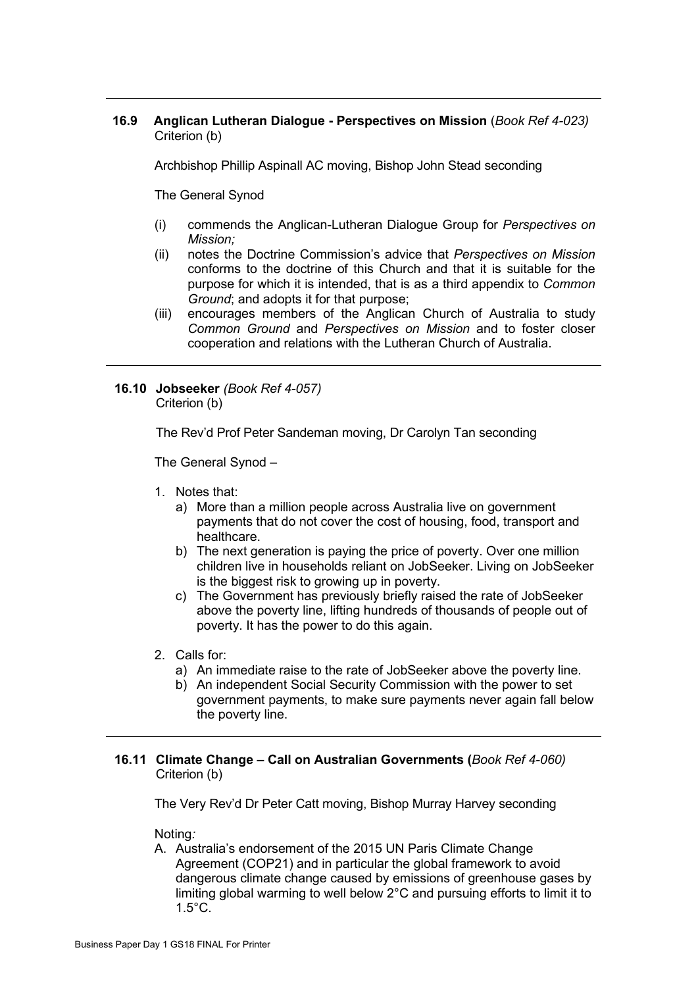# **16.9 Anglican Lutheran Dialogue - Perspectives on Mission** (*Book Ref 4-023)* Criterion (b)

Archbishop Phillip Aspinall AC moving, Bishop John Stead seconding

The General Synod

- (i) commends the Anglican-Lutheran Dialogue Group for *Perspectives on Mission;*
- (ii) notes the Doctrine Commission's advice that *Perspectives on Mission* conforms to the doctrine of this Church and that it is suitable for the purpose for which it is intended, that is as a third appendix to *Common Ground*; and adopts it for that purpose;
- (iii) encourages members of the Anglican Church of Australia to study *Common Ground* and *Perspectives on Mission* and to foster closer cooperation and relations with the Lutheran Church of Australia.

## **16.10 Jobseeker** *(Book Ref 4-057)* Criterion (b)

The Rev'd Prof Peter Sandeman moving, Dr Carolyn Tan seconding

The General Synod –

- 1. Notes that:
	- a) More than a million people across Australia live on government payments that do not cover the cost of housing, food, transport and healthcare.
	- b) The next generation is paying the price of poverty. Over one million children live in households reliant on JobSeeker. Living on JobSeeker is the biggest risk to growing up in poverty.
	- c) The Government has previously briefly raised the rate of JobSeeker above the poverty line, lifting hundreds of thousands of people out of poverty. It has the power to do this again.
- 2. Calls for:
	- a) An immediate raise to the rate of JobSeeker above the poverty line.
	- b) An independent Social Security Commission with the power to set government payments, to make sure payments never again fall below the poverty line.

# **16.11 Climate Change – Call on Australian Governments (***Book Ref 4-060)* Criterion (b)

The Very Rev'd Dr Peter Catt moving, Bishop Murray Harvey seconding

Noting*:*

A. Australia's endorsement of the 2015 UN Paris Climate Change Agreement (COP21) and in particular the global framework to avoid dangerous climate change caused by emissions of greenhouse gases by limiting global warming to well below 2°C and pursuing efforts to limit it to 1.5°C.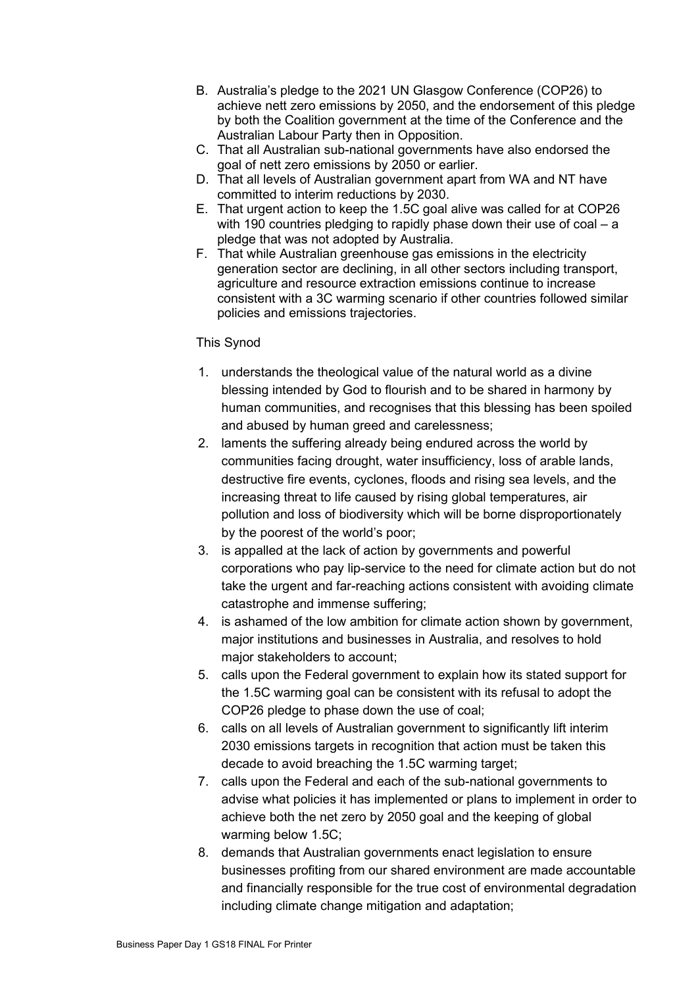- B. Australia's pledge to the 2021 UN Glasgow Conference (COP26) to achieve nett zero emissions by 2050, and the endorsement of this pledge by both the Coalition government at the time of the Conference and the Australian Labour Party then in Opposition.
- C. That all Australian sub-national governments have also endorsed the goal of nett zero emissions by 2050 or earlier.
- D. That all levels of Australian government apart from WA and NT have committed to interim reductions by 2030.
- E. That urgent action to keep the 1.5C goal alive was called for at COP26 with 190 countries pledging to rapidly phase down their use of coal – a pledge that was not adopted by Australia.
- F. That while Australian greenhouse gas emissions in the electricity generation sector are declining, in all other sectors including transport, agriculture and resource extraction emissions continue to increase consistent with a 3C warming scenario if other countries followed similar policies and emissions trajectories.

# This Synod

- 1. understands the theological value of the natural world as a divine blessing intended by God to flourish and to be shared in harmony by human communities, and recognises that this blessing has been spoiled and abused by human greed and carelessness;
- 2. laments the suffering already being endured across the world by communities facing drought, water insufficiency, loss of arable lands, destructive fire events, cyclones, floods and rising sea levels, and the increasing threat to life caused by rising global temperatures, air pollution and loss of biodiversity which will be borne disproportionately by the poorest of the world's poor;
- 3. is appalled at the lack of action by governments and powerful corporations who pay lip-service to the need for climate action but do not take the urgent and far-reaching actions consistent with avoiding climate catastrophe and immense suffering;
- 4. is ashamed of the low ambition for climate action shown by government, major institutions and businesses in Australia, and resolves to hold major stakeholders to account;
- 5. calls upon the Federal government to explain how its stated support for the 1.5C warming goal can be consistent with its refusal to adopt the COP26 pledge to phase down the use of coal;
- 6. calls on all levels of Australian government to significantly lift interim 2030 emissions targets in recognition that action must be taken this decade to avoid breaching the 1.5C warming target;
- 7. calls upon the Federal and each of the sub-national governments to advise what policies it has implemented or plans to implement in order to achieve both the net zero by 2050 goal and the keeping of global warming below 1.5C;
- 8. demands that Australian governments enact legislation to ensure businesses profiting from our shared environment are made accountable and financially responsible for the true cost of environmental degradation including climate change mitigation and adaptation;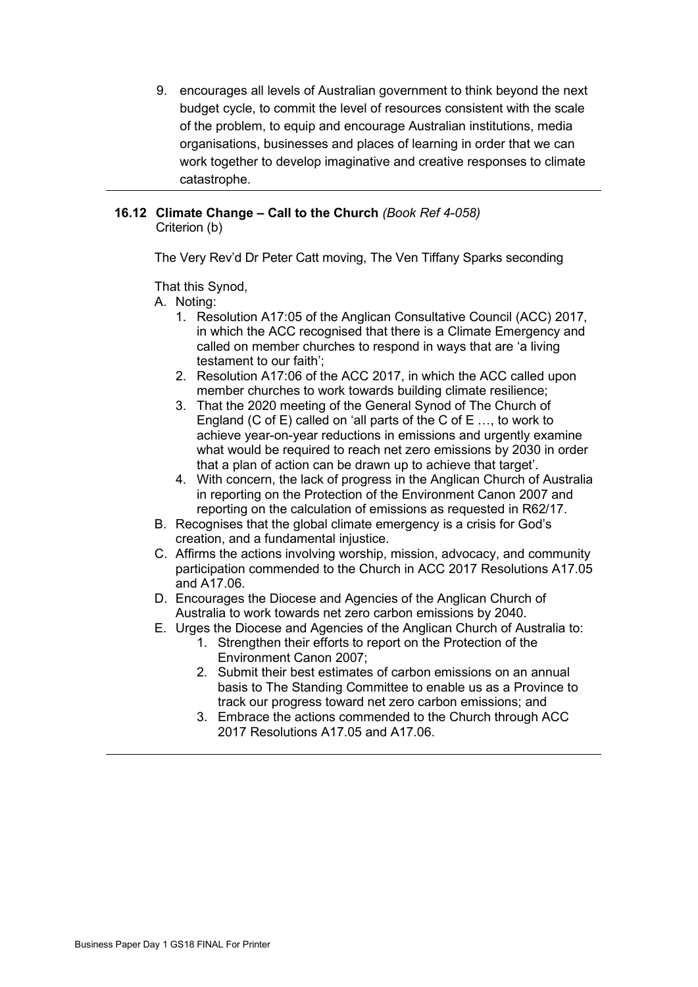9. encourages all levels of Australian government to think beyond the next budget cycle, to commit the level of resources consistent with the scale of the problem, to equip and encourage Australian institutions, media organisations, businesses and places of learning in order that we can work together to develop imaginative and creative responses to climate catastrophe.

#### **16.12 Climate Change – Call to the Church** *(Book Ref 4-058)* Criterion (b)

The Very Rev'd Dr Peter Catt moving, The Ven Tiffany Sparks seconding

That this Synod,

A. Noting:

- 1. Resolution A17:05 of the Anglican Consultative Council (ACC) 2017, in which the ACC recognised that there is a Climate Emergency and called on member churches to respond in ways that are 'a living testament to our faith';
- 2. Resolution A17:06 of the ACC 2017, in which the ACC called upon member churches to work towards building climate resilience;
- 3. That the 2020 meeting of the General Synod of The Church of England (C of E) called on 'all parts of the C of E …, to work to achieve year-on-year reductions in emissions and urgently examine what would be required to reach net zero emissions by 2030 in order that a plan of action can be drawn up to achieve that target'.
- 4. With concern, the lack of progress in the Anglican Church of Australia in reporting on the Protection of the Environment Canon 2007 and reporting on the calculation of emissions as requested in R62/17.
- B. Recognises that the global climate emergency is a crisis for God's creation, and a fundamental injustice.
- C. Affirms the actions involving worship, mission, advocacy, and community participation commended to the Church in ACC 2017 Resolutions A17.05 and A17.06.
- D. Encourages the Diocese and Agencies of the Anglican Church of Australia to work towards net zero carbon emissions by 2040.
- E. Urges the Diocese and Agencies of the Anglican Church of Australia to:
	- 1. Strengthen their efforts to report on the Protection of the Environment Canon 2007;
	- 2. Submit their best estimates of carbon emissions on an annual basis to The Standing Committee to enable us as a Province to track our progress toward net zero carbon emissions; and
	- 3. Embrace the actions commended to the Church through ACC 2017 Resolutions A17.05 and A17.06.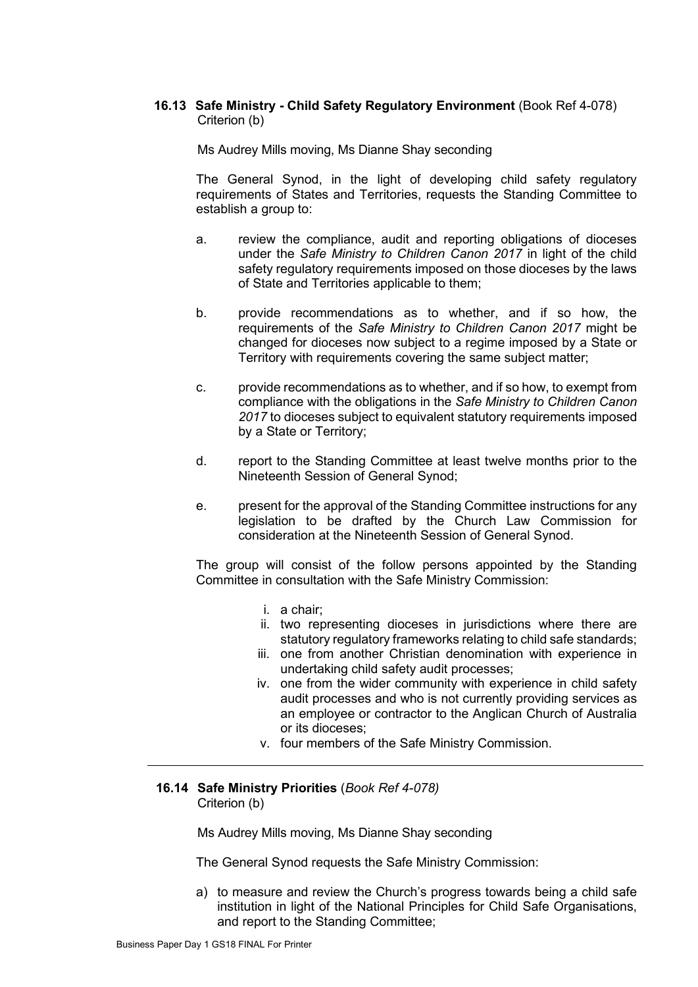# **16.13 Safe Ministry - Child Safety Regulatory Environment** (Book Ref 4-078) Criterion (b)

Ms Audrey Mills moving, Ms Dianne Shay seconding

The General Synod, in the light of developing child safety regulatory requirements of States and Territories, requests the Standing Committee to establish a group to:

- a. review the compliance, audit and reporting obligations of dioceses under the *Safe Ministry to Children Canon 2017* in light of the child safety regulatory requirements imposed on those dioceses by the laws of State and Territories applicable to them;
- b. provide recommendations as to whether, and if so how, the requirements of the *Safe Ministry to Children Canon 2017* might be changed for dioceses now subject to a regime imposed by a State or Territory with requirements covering the same subject matter;
- c. provide recommendations as to whether, and if so how, to exempt from compliance with the obligations in the *Safe Ministry to Children Canon 2017* to dioceses subject to equivalent statutory requirements imposed by a State or Territory;
- d. report to the Standing Committee at least twelve months prior to the Nineteenth Session of General Synod;
- e. present for the approval of the Standing Committee instructions for any legislation to be drafted by the Church Law Commission for consideration at the Nineteenth Session of General Synod.

The group will consist of the follow persons appointed by the Standing Committee in consultation with the Safe Ministry Commission:

- i. a chair;
- ii. two representing dioceses in jurisdictions where there are statutory regulatory frameworks relating to child safe standards;
- iii. one from another Christian denomination with experience in undertaking child safety audit processes;
- iv. one from the wider community with experience in child safety audit processes and who is not currently providing services as an employee or contractor to the Anglican Church of Australia or its dioceses;
- v. four members of the Safe Ministry Commission.

#### **16.14 Safe Ministry Priorities** (*Book Ref 4-078)* Criterion (b)

Ms Audrey Mills moving, Ms Dianne Shay seconding

The General Synod requests the Safe Ministry Commission:

a) to measure and review the Church's progress towards being a child safe institution in light of the National Principles for Child Safe Organisations, and report to the Standing Committee;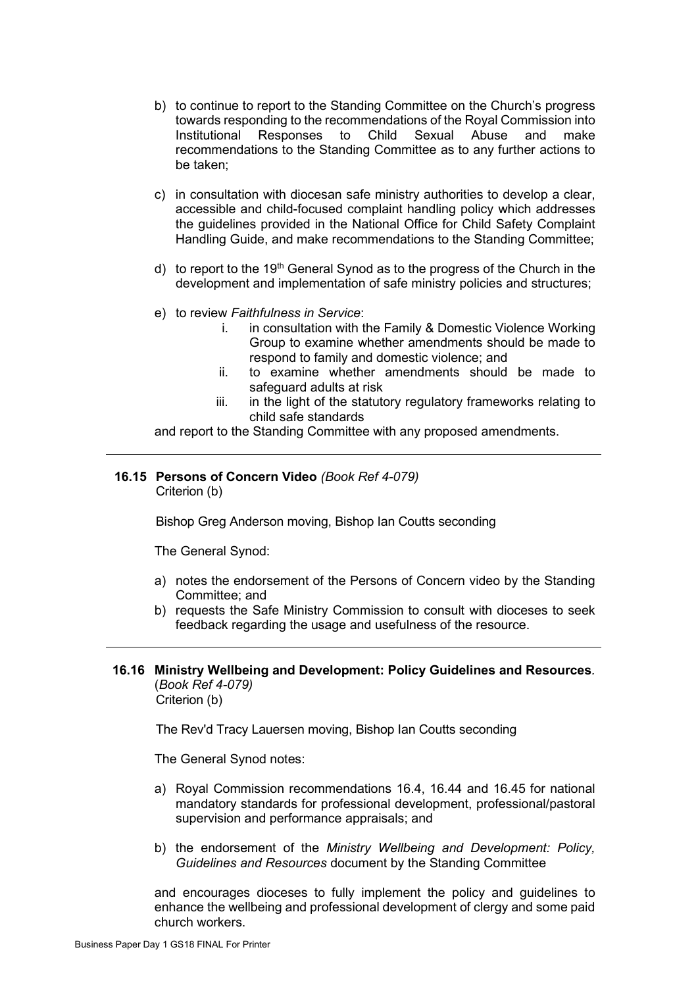- b) to continue to report to the Standing Committee on the Church's progress towards responding to the recommendations of the Royal Commission into Responses to Child recommendations to the Standing Committee as to any further actions to be taken;
- c) in consultation with diocesan safe ministry authorities to develop a clear, accessible and child-focused complaint handling policy which addresses the guidelines provided in the National Office for Child Safety Complaint Handling Guide, and make recommendations to the Standing Committee;
- d) to report to the 19<sup>th</sup> General Synod as to the progress of the Church in the development and implementation of safe ministry policies and structures;
- e) to review *Faithfulness in Service*:
	- i. in consultation with the Family & Domestic Violence Working Group to examine whether amendments should be made to respond to family and domestic violence; and
	- ii. to examine whether amendments should be made to safeguard adults at risk
	- iii. in the light of the statutory regulatory frameworks relating to child safe standards

and report to the Standing Committee with any proposed amendments.

#### **16.15 Persons of Concern Video** *(Book Ref 4-079)* Criterion (b)

Bishop Greg Anderson moving, Bishop Ian Coutts seconding

The General Synod:

- a) notes the endorsement of the Persons of Concern video by the Standing Committee; and
- b) requests the Safe Ministry Commission to consult with dioceses to seek feedback regarding the usage and usefulness of the resource.

#### **16.16 Ministry Wellbeing and Development: Policy Guidelines and Resources***.* (*Book Ref 4-079)* Criterion (b)

The Rev'd Tracy Lauersen moving, Bishop Ian Coutts seconding

The General Synod notes:

- a) Royal Commission recommendations 16.4, 16.44 and 16.45 for national mandatory standards for professional development, professional/pastoral supervision and performance appraisals; and
- b) the endorsement of the *Ministry Wellbeing and Development: Policy, Guidelines and Resources* document by the Standing Committee

and encourages dioceses to fully implement the policy and guidelines to enhance the wellbeing and professional development of clergy and some paid church workers.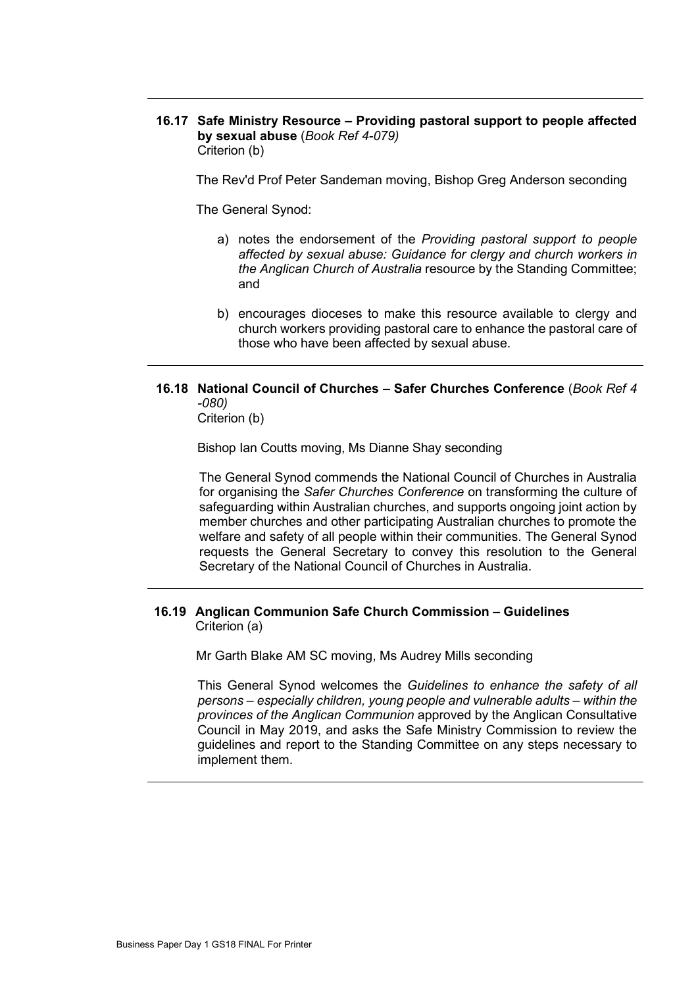**16.17 Safe Ministry Resource – Providing pastoral support to people affected by sexual abuse** (*Book Ref 4-079)* Criterion (b)

The Rev'd Prof Peter Sandeman moving, Bishop Greg Anderson seconding

The General Synod:

- a) notes the endorsement of the *Providing pastoral support to people affected by sexual abuse: Guidance for clergy and church workers in the Anglican Church of Australia* resource by the Standing Committee; and
- b) encourages dioceses to make this resource available to clergy and church workers providing pastoral care to enhance the pastoral care of those who have been affected by sexual abuse.

# **16.18 National Council of Churches – Safer Churches Conference** (*Book Ref 4 -080)*

Criterion (b)

Bishop Ian Coutts moving, Ms Dianne Shay seconding

The General Synod commends the National Council of Churches in Australia for organising the *Safer Churches Conference* on transforming the culture of safeguarding within Australian churches, and supports ongoing joint action by member churches and other participating Australian churches to promote the welfare and safety of all people within their communities. The General Synod requests the General Secretary to convey this resolution to the General Secretary of the National Council of Churches in Australia.

# **16.19 Anglican Communion Safe Church Commission – Guidelines** Criterion (a)

Mr Garth Blake AM SC moving, Ms Audrey Mills seconding

This General Synod welcomes the *Guidelines to enhance the safety of all persons – especially children, young people and vulnerable adults – within the provinces of the Anglican Communion* approved by the Anglican Consultative Council in May 2019, and asks the Safe Ministry Commission to review the guidelines and report to the Standing Committee on any steps necessary to implement them.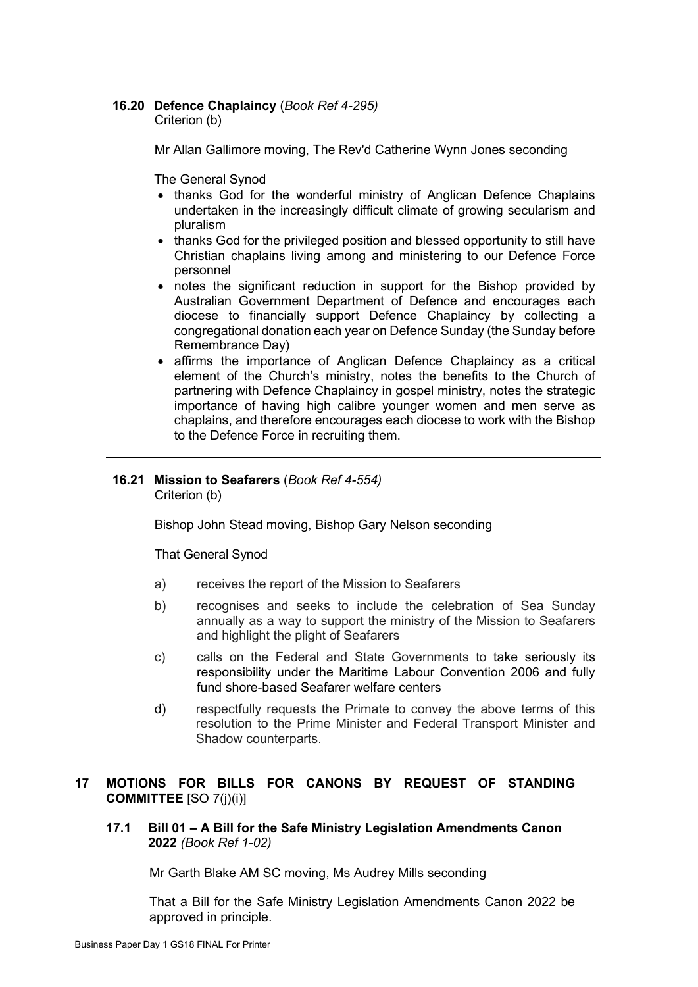# **16.20 Defence Chaplaincy** (*Book Ref 4-295)*

Criterion (b)

Mr Allan Gallimore moving, The Rev'd Catherine Wynn Jones seconding

The General Synod

- thanks God for the wonderful ministry of Anglican Defence Chaplains undertaken in the increasingly difficult climate of growing secularism and pluralism
- thanks God for the privileged position and blessed opportunity to still have Christian chaplains living among and ministering to our Defence Force personnel
- notes the significant reduction in support for the Bishop provided by Australian Government Department of Defence and encourages each diocese to financially support Defence Chaplaincy by collecting a congregational donation each year on Defence Sunday (the Sunday before Remembrance Day)
- affirms the importance of Anglican Defence Chaplaincy as a critical element of the Church's ministry, notes the benefits to the Church of partnering with Defence Chaplaincy in gospel ministry, notes the strategic importance of having high calibre younger women and men serve as chaplains, and therefore encourages each diocese to work with the Bishop to the Defence Force in recruiting them.

#### **16.21 Mission to Seafarers** (*Book Ref 4-554)* Criterion (b)

Bishop John Stead moving, Bishop Gary Nelson seconding

That General Synod

- a) receives the report of the Mission to Seafarers
- b) recognises and seeks to include the celebration of Sea Sunday annually as a way to support the ministry of the Mission to Seafarers and highlight the plight of Seafarers
- c) calls on the Federal and State Governments to take seriously its responsibility under the Maritime Labour Convention 2006 and fully fund shore-based Seafarer welfare centers
- d) respectfully requests the Primate to convey the above terms of this resolution to the Prime Minister and Federal Transport Minister and Shadow counterparts.

# **17 MOTIONS FOR BILLS FOR CANONS BY REQUEST OF STANDING COMMITTEE** [SO 7(j)(i)]

**17.1 Bill 01 – A Bill for the Safe Ministry Legislation Amendments Canon 2022** *(Book Ref 1-02)*

Mr Garth Blake AM SC moving, Ms Audrey Mills seconding

That a Bill for the Safe Ministry Legislation Amendments Canon 2022 be approved in principle.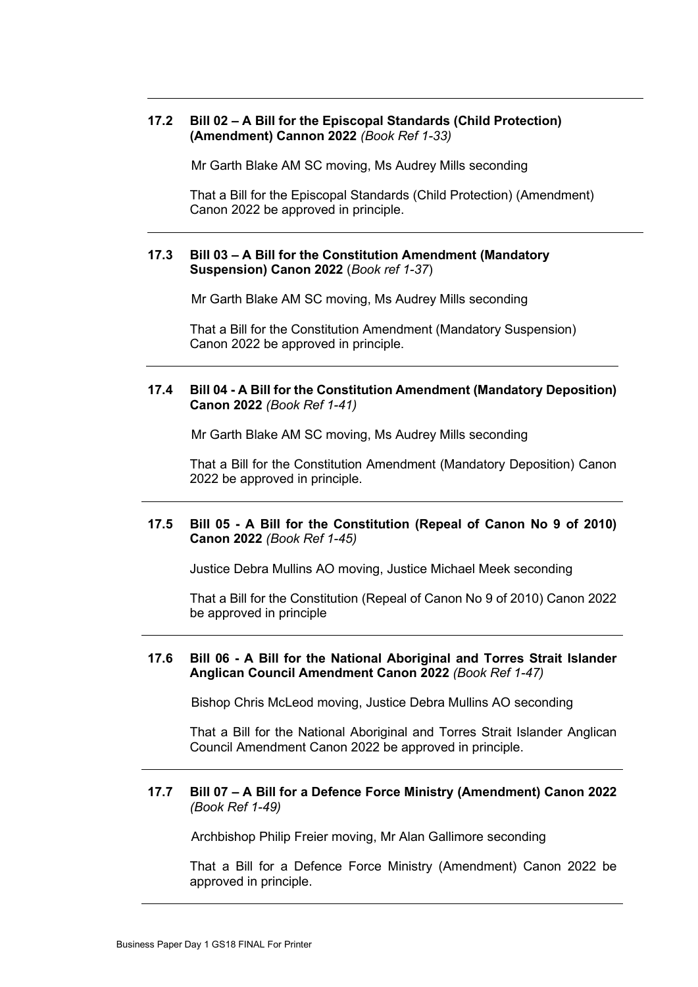# **17.2 Bill 02 – A Bill for the Episcopal Standards (Child Protection) (Amendment) Cannon 2022** *(Book Ref 1-33)*

Mr Garth Blake AM SC moving, Ms Audrey Mills seconding

That a Bill for the Episcopal Standards (Child Protection) (Amendment) Canon 2022 be approved in principle.

# **17.3 Bill 03 – A Bill for the Constitution Amendment (Mandatory Suspension) Canon 2022** (*Book ref 1-37*)

Mr Garth Blake AM SC moving, Ms Audrey Mills seconding

That a Bill for the Constitution Amendment (Mandatory Suspension) Canon 2022 be approved in principle.

## **17.4 Bill 04 - A Bill for the Constitution Amendment (Mandatory Deposition) Canon 2022** *(Book Ref 1-41)*

Mr Garth Blake AM SC moving, Ms Audrey Mills seconding

That a Bill for the Constitution Amendment (Mandatory Deposition) Canon 2022 be approved in principle.

# **17.5 Bill 05 - A Bill for the Constitution (Repeal of Canon No 9 of 2010) Canon 2022** *(Book Ref 1-45)*

Justice Debra Mullins AO moving, Justice Michael Meek seconding

That a Bill for the Constitution (Repeal of Canon No 9 of 2010) Canon 2022 be approved in principle

## **17.6 Bill 06 - A Bill for the National Aboriginal and Torres Strait Islander Anglican Council Amendment Canon 2022** *(Book Ref 1-47)*

Bishop Chris McLeod moving, Justice Debra Mullins AO seconding

That a Bill for the National Aboriginal and Torres Strait Islander Anglican Council Amendment Canon 2022 be approved in principle.

#### **17.7 Bill 07 – A Bill for a Defence Force Ministry (Amendment) Canon 2022**  *(Book Ref 1-49)*

Archbishop Philip Freier moving, Mr Alan Gallimore seconding

That a Bill for a Defence Force Ministry (Amendment) Canon 2022 be approved in principle.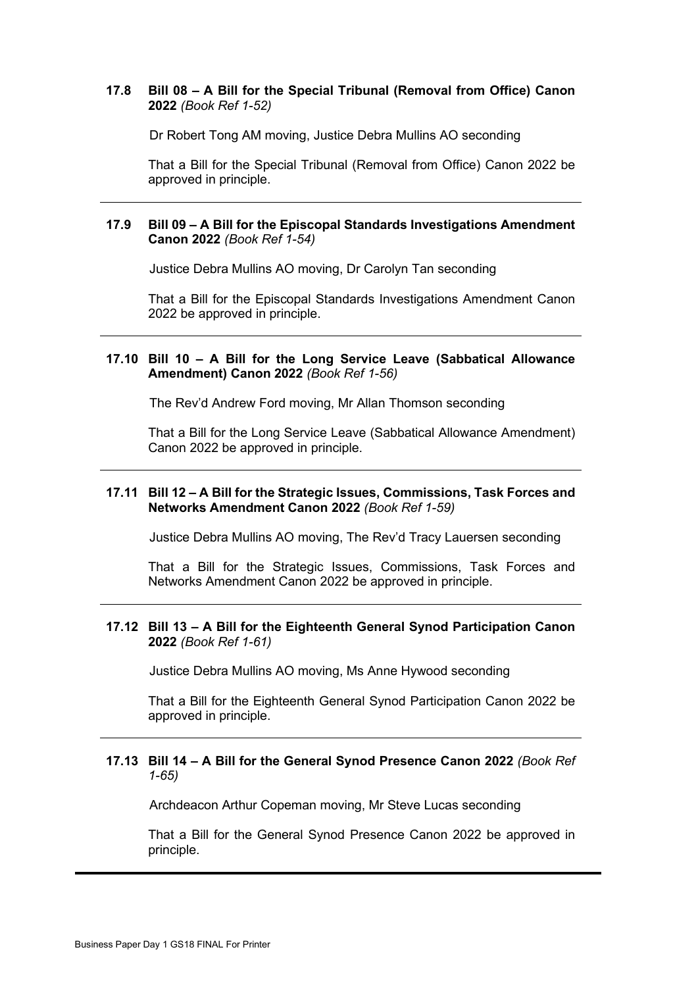# **17.8 Bill 08 – A Bill for the Special Tribunal (Removal from Office) Canon 2022** *(Book Ref 1-52)*

Dr Robert Tong AM moving, Justice Debra Mullins AO seconding

That a Bill for the Special Tribunal (Removal from Office) Canon 2022 be approved in principle.

# **17.9 Bill 09 – A Bill for the Episcopal Standards Investigations Amendment Canon 2022** *(Book Ref 1-54)*

Justice Debra Mullins AO moving, Dr Carolyn Tan seconding

That a Bill for the Episcopal Standards Investigations Amendment Canon 2022 be approved in principle.

#### **17.10 Bill 10 – A Bill for the Long Service Leave (Sabbatical Allowance Amendment) Canon 2022** *(Book Ref 1-56)*

The Rev'd Andrew Ford moving, Mr Allan Thomson seconding

That a Bill for the Long Service Leave (Sabbatical Allowance Amendment) Canon 2022 be approved in principle.

#### **17.11 Bill 12 – A Bill for the Strategic Issues, Commissions, Task Forces and Networks Amendment Canon 2022** *(Book Ref 1-59)*

Justice Debra Mullins AO moving, The Rev'd Tracy Lauersen seconding

That a Bill for the Strategic Issues, Commissions, Task Forces and Networks Amendment Canon 2022 be approved in principle.

### **17.12 Bill 13 – A Bill for the Eighteenth General Synod Participation Canon 2022** *(Book Ref 1-61)*

Justice Debra Mullins AO moving, Ms Anne Hywood seconding

That a Bill for the Eighteenth General Synod Participation Canon 2022 be approved in principle.

# **17.13 Bill 14 – A Bill for the General Synod Presence Canon 2022** *(Book Ref 1-65)*

Archdeacon Arthur Copeman moving, Mr Steve Lucas seconding

That a Bill for the General Synod Presence Canon 2022 be approved in principle.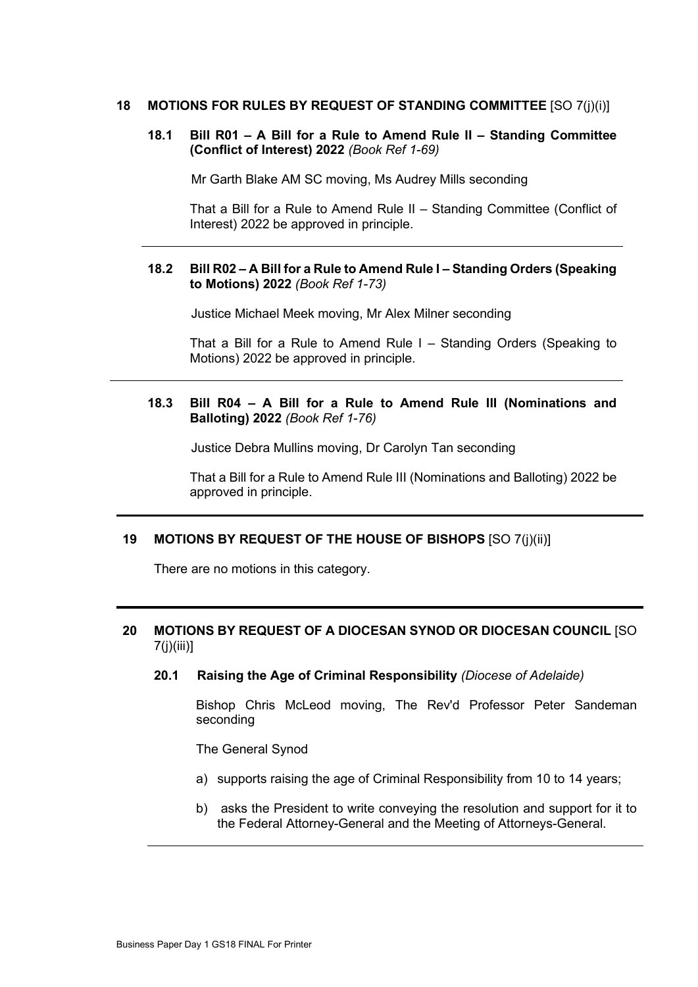## **18 MOTIONS FOR RULES BY REQUEST OF STANDING COMMITTEE** [SO 7(j)(i)]

# **18.1 Bill R01 – A Bill for a Rule to Amend Rule II – Standing Committee (Conflict of Interest) 2022** *(Book Ref 1-69)*

Mr Garth Blake AM SC moving, Ms Audrey Mills seconding

That a Bill for a Rule to Amend Rule II – Standing Committee (Conflict of Interest) 2022 be approved in principle.

## **18.2 Bill R02 – A Bill for a Rule to Amend Rule I – Standing Orders (Speaking to Motions) 2022** *(Book Ref 1-73)*

Justice Michael Meek moving, Mr Alex Milner seconding

That a Bill for a Rule to Amend Rule I – Standing Orders (Speaking to Motions) 2022 be approved in principle.

# **18.3 Bill R04 – A Bill for a Rule to Amend Rule III (Nominations and Balloting) 2022** *(Book Ref 1-76)*

Justice Debra Mullins moving, Dr Carolyn Tan seconding

That a Bill for a Rule to Amend Rule III (Nominations and Balloting) 2022 be approved in principle.

#### **19 MOTIONS BY REQUEST OF THE HOUSE OF BISHOPS** [SO 7(j)(ii)]

There are no motions in this category.

# **20 MOTIONS BY REQUEST OF A DIOCESAN SYNOD OR DIOCESAN COUNCIL** [SO 7(j)(iii)]

**20.1 Raising the Age of Criminal Responsibility** *(Diocese of Adelaide)*

Bishop Chris McLeod moving, The Rev'd Professor Peter Sandeman seconding

The General Synod

- a) supports raising the age of Criminal Responsibility from 10 to 14 years;
- b) asks the President to write conveying the resolution and support for it to the Federal Attorney-General and the Meeting of Attorneys-General.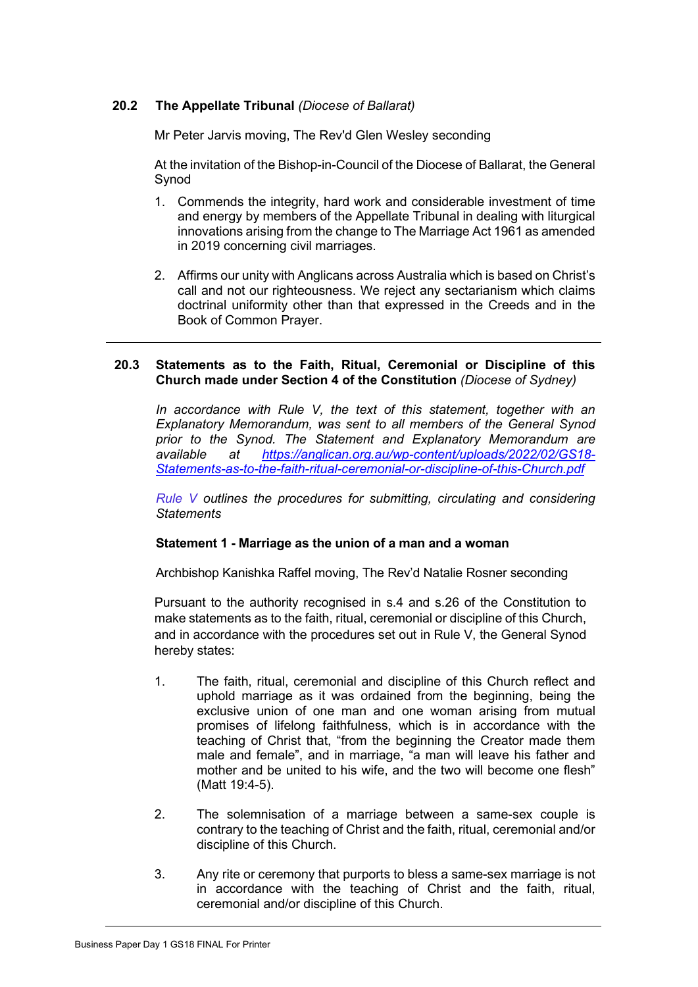# **20.2 The Appellate Tribunal** *(Diocese of Ballarat)*

Mr Peter Jarvis moving, The Rev'd Glen Wesley seconding

At the invitation of the Bishop-in-Council of the Diocese of Ballarat, the General Synod

- 1. Commends the integrity, hard work and considerable investment of time and energy by members of the Appellate Tribunal in dealing with liturgical innovations arising from the change to The Marriage Act 1961 as amended in 2019 concerning civil marriages.
- 2. Affirms our unity with Anglicans across Australia which is based on Christ's call and not our righteousness. We reject any sectarianism which claims doctrinal uniformity other than that expressed in the Creeds and in the Book of Common Prayer.

## **20.3 Statements as to the Faith, Ritual, Ceremonial or Discipline of this Church made under Section 4 of the Constitution** *(Diocese of Sydney)*

*In accordance with Rule V, the text of this statement, together with an Explanatory Memorandum, was sent to all members of the General Synod prior to the Synod. The Statement and Explanatory Memorandum are available at [https://anglican.org.au/wp-content/uploads/2022/02/GS18-](https://anglican.org.au/wp-content/uploads/2022/02/GS18-Statements-as-to-the-faith-ritual-ceremonial-or-discipline-of-this-Church.pdf) [Statements-as-to-the-faith-ritual-ceremonial-or-discipline-of-this-Church.pdf](https://anglican.org.au/wp-content/uploads/2022/02/GS18-Statements-as-to-the-faith-ritual-ceremonial-or-discipline-of-this-Church.pdf)*

*[Rule](https://anglican.org.au/wp-content/uploads/2022/02/Rule-V-Statement-made-under-Section-4-of-the-Constitution.pdf) V outlines the procedures for submitting, circulating and considering Statements*

#### **Statement 1 - Marriage as the union of a man and a woman**

Archbishop Kanishka Raffel moving, The Rev'd Natalie Rosner seconding

Pursuant to the authority recognised in s.4 and s.26 of the Constitution to make statements as to the faith, ritual, ceremonial or discipline of this Church, and in accordance with the procedures set out in Rule V, the General Synod hereby states:

- 1. The faith, ritual, ceremonial and discipline of this Church reflect and uphold marriage as it was ordained from the beginning, being the exclusive union of one man and one woman arising from mutual promises of lifelong faithfulness, which is in accordance with the teaching of Christ that, "from the beginning the Creator made them male and female", and in marriage, "a man will leave his father and mother and be united to his wife, and the two will become one flesh" (Matt 19:4-5).
- 2. The solemnisation of a marriage between a same-sex couple is contrary to the teaching of Christ and the faith, ritual, ceremonial and/or discipline of this Church.
- 3. Any rite or ceremony that purports to bless a same-sex marriage is not in accordance with the teaching of Christ and the faith, ritual, ceremonial and/or discipline of this Church.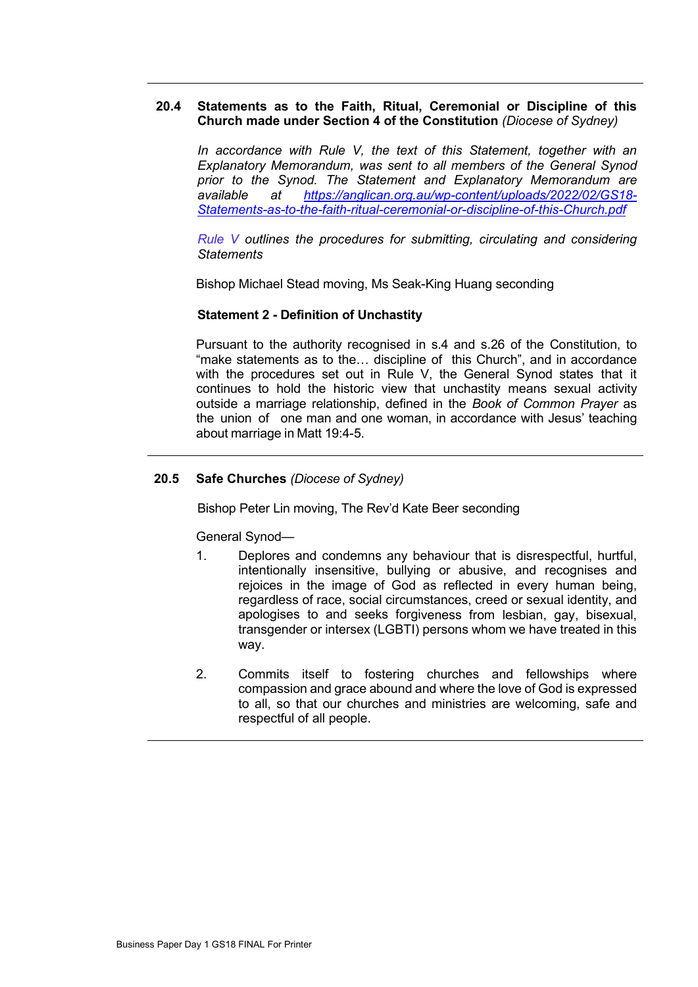## **20.4 Statements as to the Faith, Ritual, Ceremonial or Discipline of this Church made under Section 4 of the Constitution** *(Diocese of Sydney)*

*In accordance with Rule V, the text of this Statement, together with an Explanatory Memorandum, was sent to all members of the General Synod prior to the Synod. The Statement and Explanatory Memorandum are available at [https://anglican.org.au/wp-content/uploads/2022/02/GS18-](https://anglican.org.au/wp-content/uploads/2022/02/GS18-Statements-as-to-the-faith-ritual-ceremonial-or-discipline-of-this-Church.pdf) [Statements-as-to-the-faith-ritual-ceremonial-or-discipline-of-this-Church.pdf](https://anglican.org.au/wp-content/uploads/2022/02/GS18-Statements-as-to-the-faith-ritual-ceremonial-or-discipline-of-this-Church.pdf)*

*[Rule](https://anglican.org.au/wp-content/uploads/2022/02/Rule-V-Statement-made-under-Section-4-of-the-Constitution.pdf) V outlines the procedures for submitting, circulating and considering Statements*

Bishop Michael Stead moving, Ms Seak-King Huang seconding

# **Statement 2 - Definition of Unchastity**

Pursuant to the authority recognised in s.4 and s.26 of the Constitution, to "make statements as to the… discipline of this Church", and in accordance with the procedures set out in Rule V, the General Synod states that it continues to hold the historic view that unchastity means sexual activity outside a marriage relationship, defined in the *Book of Common Prayer* as the union of one man and one woman, in accordance with Jesus' teaching about marriage in Matt 19:4-5.

# **20.5 Safe Churches** *(Diocese of Sydney)*

Bishop Peter Lin moving, The Rev'd Kate Beer seconding

General Synod—

- 1. Deplores and condemns any behaviour that is disrespectful, hurtful, intentionally insensitive, bullying or abusive, and recognises and rejoices in the image of God as reflected in every human being. regardless of race, social circumstances, creed or sexual identity, and apologises to and seeks forgiveness from lesbian, gay, bisexual, transgender or intersex (LGBTI) persons whom we have treated in this way.
- 2. Commits itself to fostering churches and fellowships where compassion and grace abound and where the love of God is expressed to all, so that our churches and ministries are welcoming, safe and respectful of all people.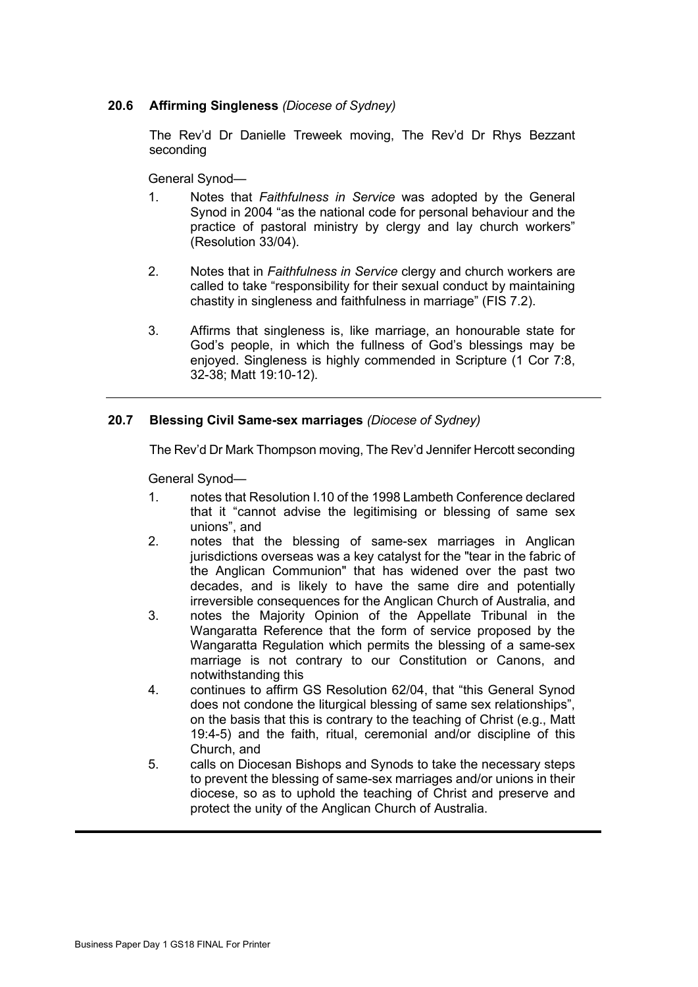# **20.6 Affirming Singleness** *(Diocese of Sydney)*

The Rev'd Dr Danielle Treweek moving, The Rev'd Dr Rhys Bezzant seconding

General Synod—

- 1. Notes that *Faithfulness in Service* was adopted by the General Synod in 2004 "as the national code for personal behaviour and the practice of pastoral ministry by clergy and lay church workers" (Resolution 33/04).
- 2. Notes that in *Faithfulness in Service* clergy and church workers are called to take "responsibility for their sexual conduct by maintaining chastity in singleness and faithfulness in marriage" (FIS 7.2).
- 3. Affirms that singleness is, like marriage, an honourable state for God's people, in which the fullness of God's blessings may be enjoyed. Singleness is highly commended in Scripture (1 Cor 7:8, 32-38; Matt 19:10-12).

# **20.7 Blessing Civil Same-sex marriages** *(Diocese of Sydney)*

The Rev'd Dr Mark Thompson moving, The Rev'd Jennifer Hercott seconding

General Synod—

- 1. notes that Resolution I.10 of the 1998 Lambeth Conference declared that it "cannot advise the legitimising or blessing of same sex unions", and
- 2. notes that the blessing of same-sex marriages in Anglican jurisdictions overseas was a key catalyst for the "tear in the fabric of the Anglican Communion" that has widened over the past two decades, and is likely to have the same dire and potentially irreversible consequences for the Anglican Church of Australia, and
- 3. notes the Majority Opinion of the Appellate Tribunal in the Wangaratta Reference that the form of service proposed by the Wangaratta Regulation which permits the blessing of a same-sex marriage is not contrary to our Constitution or Canons, and notwithstanding this
- 4. continues to affirm GS Resolution 62/04, that "this General Synod does not condone the liturgical blessing of same sex relationships", on the basis that this is contrary to the teaching of Christ (e.g., Matt 19:4-5) and the faith, ritual, ceremonial and/or discipline of this Church, and
- 5. calls on Diocesan Bishops and Synods to take the necessary steps to prevent the blessing of same-sex marriages and/or unions in their diocese, so as to uphold the teaching of Christ and preserve and protect the unity of the Anglican Church of Australia.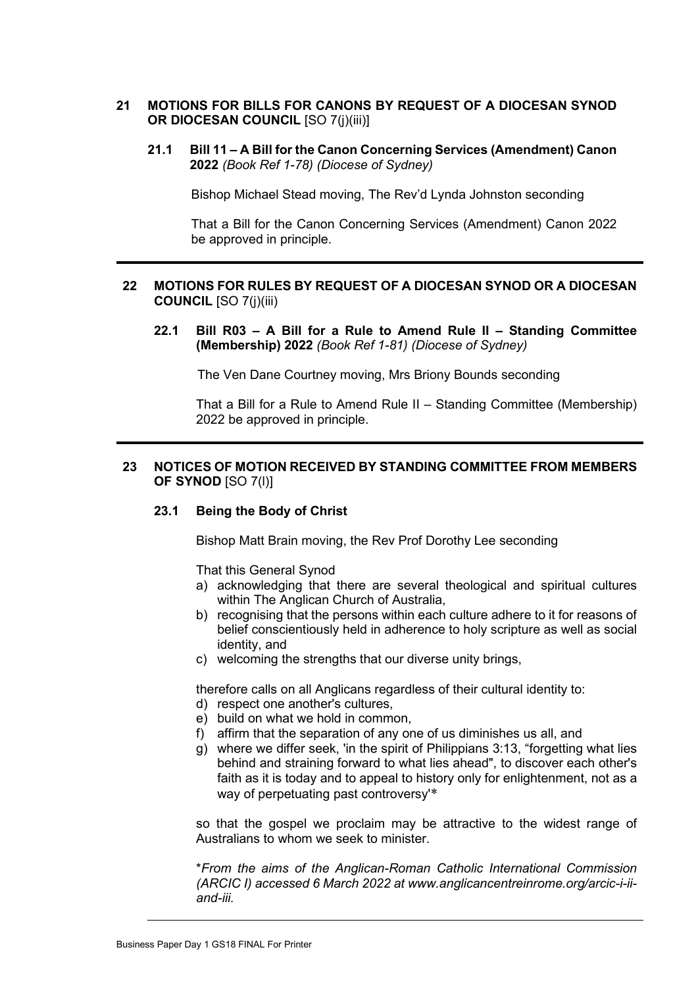# **21 MOTIONS FOR BILLS FOR CANONS BY REQUEST OF A DIOCESAN SYNOD OR DIOCESAN COUNCIL** [SO 7(j)(iii)]

**21.1 Bill 11 – A Bill for the Canon Concerning Services (Amendment) Canon 2022** *(Book Ref 1-78) (Diocese of Sydney)*

Bishop Michael Stead moving, The Rev'd Lynda Johnston seconding

That a Bill for the Canon Concerning Services (Amendment) Canon 2022 be approved in principle.

# **22 MOTIONS FOR RULES BY REQUEST OF A DIOCESAN SYNOD OR A DIOCESAN COUNCIL** [SO 7(j)(iii)

**22.1 Bill R03 – A Bill for a Rule to Amend Rule II – Standing Committee (Membership) 2022** *(Book Ref 1-81) (Diocese of Sydney)*

The Ven Dane Courtney moving, Mrs Briony Bounds seconding

That a Bill for a Rule to Amend Rule II – Standing Committee (Membership) 2022 be approved in principle.

# **23 NOTICES OF MOTION RECEIVED BY STANDING COMMITTEE FROM MEMBERS OF SYNOD** [SO 7(l)]

## **23.1 Being the Body of Christ**

Bishop Matt Brain moving, the Rev Prof Dorothy Lee seconding

That this General Synod

- a) acknowledging that there are several theological and spiritual cultures within The Anglican Church of Australia,
- b) recognising that the persons within each culture adhere to it for reasons of belief conscientiously held in adherence to holy scripture as well as social identity, and
- c) welcoming the strengths that our diverse unity brings,

therefore calls on all Anglicans regardless of their cultural identity to:

- d) respect one another's cultures,
- e) build on what we hold in common,
- f) affirm that the separation of any one of us diminishes us all, and
- g) where we differ seek, 'in the spirit of Philippians 3:13, "forgetting what lies behind and straining forward to what lies ahead", to discover each other's faith as it is today and to appeal to history only for enlightenment, not as a way of perpetuating past controversy'\*

so that the gospel we proclaim may be attractive to the widest range of Australians to whom we seek to minister.

\**From the aims of the Anglican-Roman Catholic International Commission (ARCIC I) accessed 6 March 2022 at www.anglicancentreinrome.org/arcic-i-iiand-iii.*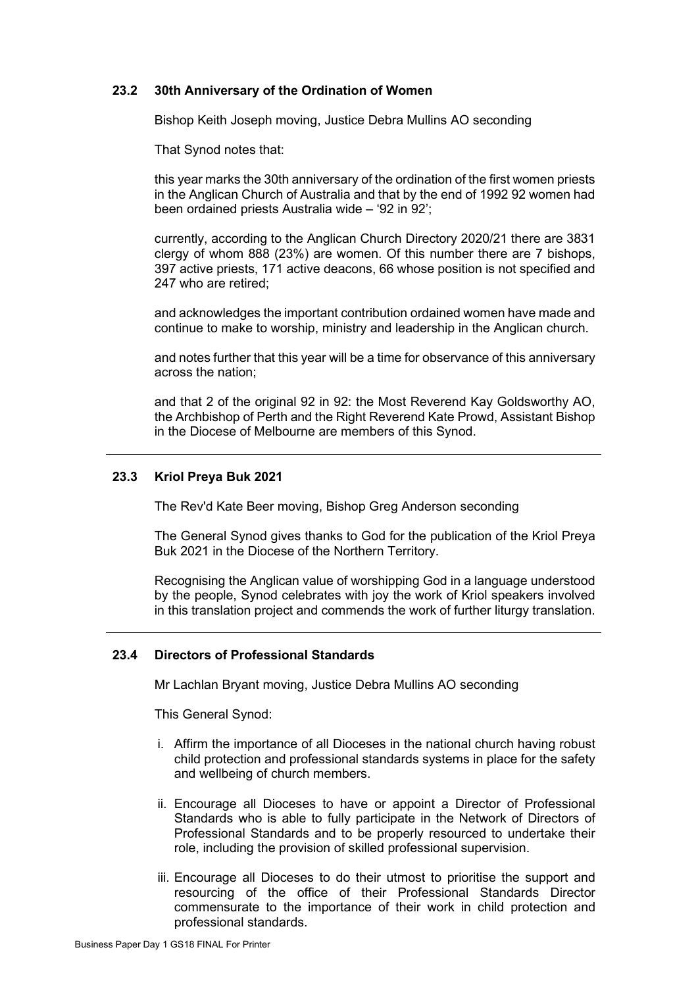# **23.2 30th Anniversary of the Ordination of Women**

Bishop Keith Joseph moving, Justice Debra Mullins AO seconding

That Synod notes that:

this year marks the 30th anniversary of the ordination of the first women priests in the Anglican Church of Australia and that by the end of 1992 92 women had been ordained priests Australia wide – '92 in 92';

currently, according to the Anglican Church Directory 2020/21 there are 3831 clergy of whom 888 (23%) are women. Of this number there are 7 bishops, 397 active priests, 171 active deacons, 66 whose position is not specified and 247 who are retired;

and acknowledges the important contribution ordained women have made and continue to make to worship, ministry and leadership in the Anglican church.

and notes further that this year will be a time for observance of this anniversary across the nation;

and that 2 of the original 92 in 92: the Most Reverend Kay Goldsworthy AO, the Archbishop of Perth and the Right Reverend Kate Prowd, Assistant Bishop in the Diocese of Melbourne are members of this Synod.

# **23.3 Kriol Preya Buk 2021**

The Rev'd Kate Beer moving, Bishop Greg Anderson seconding

The General Synod gives thanks to God for the publication of the Kriol Preya Buk 2021 in the Diocese of the Northern Territory.

Recognising the Anglican value of worshipping God in a language understood by the people, Synod celebrates with joy the work of Kriol speakers involved in this translation project and commends the work of further liturgy translation.

#### **23.4 Directors of Professional Standards**

Mr Lachlan Bryant moving, Justice Debra Mullins AO seconding

This General Synod:

- i. Affirm the importance of all Dioceses in the national church having robust child protection and professional standards systems in place for the safety and wellbeing of church members.
- ii. Encourage all Dioceses to have or appoint a Director of Professional Standards who is able to fully participate in the Network of Directors of Professional Standards and to be properly resourced to undertake their role, including the provision of skilled professional supervision.
- iii. Encourage all Dioceses to do their utmost to prioritise the support and resourcing of the office of their Professional Standards Director commensurate to the importance of their work in child protection and professional standards.